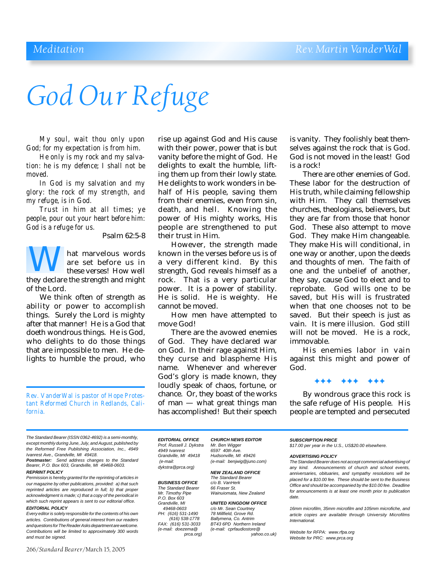# *God Our Refuge*

*My soul, wait thou only upon God; for my expectation is from him.*

*He only is my rock and my salvation: he is my defence; I shall not be moved.*

*In God is my salvation and my glory: the rock of my strength, and my refuge, is in God.*

*Trust in him at all times; ye people, pour out your heart before him: God is a refuge for us.*

Psalm 62:5-8

hat marvelous words are set before us in these verses! How well are set before us in<br>these verses! How well<br>they declare the strength and might of the Lord.

We think often of strength as ability or power to accomplish things. Surely the Lord is mighty after that manner! He is a God that doeth wondrous things. He is God, who delights to do those things that are impossible to men. He delights to humble the proud, who

*Rev. VanderWal is pastor of Hope Protestant Reformed Church in Redlands, California.*

rise up against God and His cause with their power, power that is but vanity before the might of God. He delights to exalt the humble, lifting them up from their lowly state. He delights to work wonders in behalf of His people, saving them from their enemies, even from sin, death, and hell. Knowing the power of His mighty works, His people are strengthened to put their trust in Him.

However, the strength made known in the verses before us is of a very different kind. By this strength, God reveals himself as a rock. That is a very particular power. It is a power of stability. He is solid. He is weighty. He cannot be moved.

How men have attempted to move God!

There are the avowed enemies of God. They have declared war on God. In their rage against Him, they curse and blaspheme His name. Whenever and wherever God's glory is made known, they loudly speak of chaos, fortune, or chance. Or, they boast of the works of man — what great things man has accomplished! But their speech

is vanity. They foolishly beat themselves against the rock that is God. God is not moved in the least! God is a rock!

There are other enemies of God. These labor for the destruction of His truth, while claiming fellowship with Him. They call themselves churches, theologians, believers, but they are far from those that honor God. These also attempt to move God. They make Him changeable. They make His will conditional, in one way or another, upon the deeds and thoughts of men. The faith of one and the unbelief of another, they say, cause God to elect and to reprobate. God wills one to be saved, but His will is frustrated when that one chooses not to be saved. But their speech is just as vain. It is mere illusion. God still will not be moved. He is a rock. immovable.

His enemies labor in vain against this might and power of God.

✦✦✦ ✦✦✦ ✦✦✦

By wondrous grace this rock is the safe refuge of His people. His people are tempted and persecuted

*The Standard Bearer (ISSN 0362-4692) is a semi-monthly, except monthly during June, July, and August, published by the Reformed Free Publishing Association, Inc., 4949 Ivanrest Ave., Grandville, MI 49418.*

*Postmaster: Send address changes to the Standard Bearer, P.O. Box 603, Grandville, MI 49468-0603.*

#### *REPRINT POLICY*

*Permission is hereby granted for the reprinting of articles in our magazine by other publications, provided: a) that such reprinted articles are reproduced in full; b) that proper acknowledgment is made; c) that a copy of the periodical in which such reprint appears is sent to our editorial office. EDITORIAL POLICY*

*Every editor is solely responsible for the contents of his own articles. Contributions of general interest from our readers and questions for The Reader Asks department are welcome. Contributions will be limited to approximately 300 words and must be signed.*

266/*Standard Bearer*/March 15, 2005

*Prof. Russell J. Dykstra Mr. Ben Wigger 4949 Ivanrest 6597 40th Ave. Grandville, MI 49418 Hudsonville, MI 49426 dykstra@prca.org)*

**BUSINESS OFFICE** *The Standard Bearer 66 Fraser St. P.O. Box 603 Grandville, MI UNITED KINGDOM OFFICE PH:* (616) 531-1490<br>(616) 538-1778

*EDITORIAL OFFICE CHURCH NEWS EDITOR (e-mail: (e-mail: benjwig@juno.com)*

> *NEW ZEALAND OFFICE The Standard Bearer Wainuiomata, New Zealand*

*c/o Mr. Sean Courtney*<br>78 *Millfield. Grove Rd. (616) 538-1778 Ballymena, Co. Antrim FAX: (616) 531-3033 BT43 6PD Northern Ireland (e-mail: doezema@ (e-mail: cprfaudiostore@ prca.org) yahoo.co.uk)*

*SUBSCRIPTION PRICE \$17.00 per year in the U.S., US\$20.00 elsewhere.*

#### *ADVERTISING POLICY*

*The Standard Bearer does not accept commercial advertising of any kind. Announcements of church and school events, anniversaries, obituaries, and sympathy resolutions will be placed for a \$10.00 fee. These should be sent to the Business Office and should be accompanied by the \$10.00 fee. Deadline for announcements is at least one month prior to publication date.*

*16mm microfilm, 35mm microfilm and 105mm microfiche, and article copies are available through University Microfilms International.*

*Website for RFPA: www.rfpa.org Website for PRC: www.prca.org*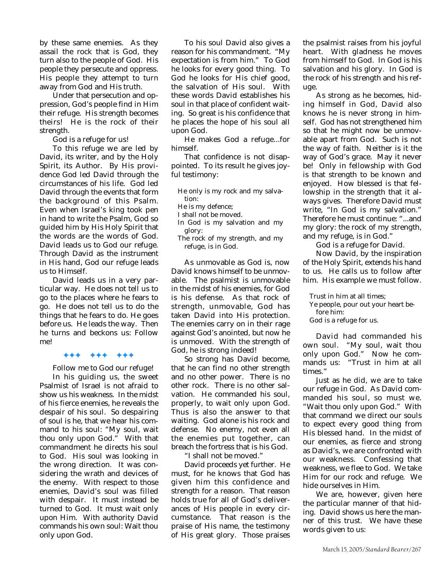by these same enemies. As they assail the rock that is God, they turn also to the people of God. His people they persecute and oppress. His people they attempt to turn away from God and His truth.

Under that persecution and oppression, God's people find in Him their refuge. His strength becomes theirs! He is the rock of their strength.

God is a refuge for us!

To this refuge we are led by David, its writer, and by the Holy Spirit, its Author. By His providence God led David through the circumstances of his life. God led David through the events that form the background of this Psalm. Even when Israel's king took pen in hand to write the Psalm, God so guided him by His Holy Spirit that the words are the words of God. David leads us to God our refuge. Through David as the instrument in His hand, God our refuge leads us to Himself.

David leads us in a very particular way. He does not tell us to go to the places where he fears to go. He does not tell us to do the things that he fears to do. He goes before us. He leads the way. Then he turns and beckons us: Follow me!

#### ✦✦✦ ✦✦✦ ✦✦✦

Follow me to God our refuge!

In his guiding us, the sweet Psalmist of Israel is not afraid to show us his weakness. In the midst of his fierce enemies, he reveals the despair of his soul. So despairing of soul is he, that we hear his command to his soul: "My soul, wait thou only upon God." With that commandment he directs his soul to God. His soul was looking in the wrong direction. It was considering the wrath and devices of the enemy. With respect to those enemies, David's soul was filled with despair. It must instead be turned to God. It must wait only upon Him. With authority David commands his own soul: Wait thou only upon God.

To his soul David also gives a reason for his commandment. "My expectation is from him." To God he looks for every good thing. To God he looks for His chief good, the salvation of His soul. With these words David establishes his soul in that place of confident waiting. So great is his confidence that he places the hope of his soul all upon God.

He makes God a refuge...for himself.

That confidence is not disappointed. To its result he gives joyful testimony:

- He only is my rock and my salvation: He is my defence; I shall not be moved.
- In God is my salvation and my glory:
- The rock of my strength, and my refuge, is in God.

As unmovable as God is, now David knows himself to be unmovable. The psalmist is unmovable in the midst of his enemies, for God is his defense. As that rock of strength, unmovable, God has taken David into His protection. The enemies carry on in their rage against God's anointed, but now he is unmoved. With the strength of God, he is strong indeed!

So strong has David become, that he can find no other strength and no other power. There is no other rock. There is no other salvation. He commanded his soul, properly, to wait only upon God. Thus is also the answer to that waiting. God alone is his rock and defense. No enemy, not even all the enemies put together, can breach the fortress that is his God. "I shall not be moved."

David proceeds yet further. He must, for he knows that God has given him this confidence and strength for a reason. That reason holds true for all of God's deliverances of His people in every circumstance. That reason is the praise of His name, the testimony of His great glory. Those praises

the psalmist raises from his joyful heart. With gladness he moves from himself to God. In God is his salvation and his glory. In God is the rock of his strength and his refuge.

As strong as he becomes, hiding himself in God, David also knows he is never strong in himself. God has not strengthened him so that he might now be unmovable apart from God. Such is not the way of faith. Neither is it the way of God's grace. May it never be! Only in fellowship with God is that strength to be known and enjoyed. How blessed is that fellowship in the strength that it always gives. Therefore David must write, "In God is my salvation." Therefore he must continue: "...and my glory: the rock of my strength, and my refuge, is in God."

God is a refuge for David.

Now David, by the inspiration of the Holy Spirit, extends his hand to us. He calls us to follow after him. His example we must follow.

Trust in him at all times;

- Ye people, pour out your heart before him:
- God is a refuge for us.

David had commanded his own soul. "My soul, wait thou only upon God." Now he commands us: "Trust in him at all times."

Just as he did, we are to take our refuge in God. As David commanded his soul, so must we. "Wait thou only upon God." With that command we direct our souls to expect every good thing from His blessed hand. In the midst of our enemies, as fierce and strong as David's, we are confronted with our weakness. Confessing that weakness, we flee to God. We take Him for our rock and refuge. We hide ourselves in Him.

We are, however, given here the particular manner of that hiding. David shows us here the manner of this trust. We have these words given to us: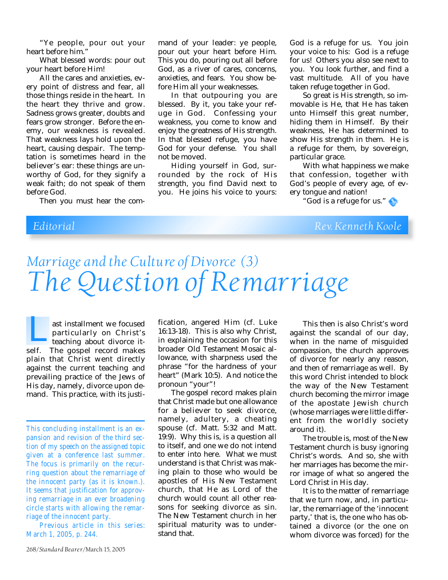"Ye people, pour out your heart before him."

What blessed words: pour out your heart before Him!

All the cares and anxieties, every point of distress and fear, all those things reside in the heart. In the heart they thrive and grow. Sadness grows greater, doubts and fears grow stronger. Before the enemy, our weakness is revealed. That weakness lays hold upon the heart, causing despair. The temptation is sometimes heard in the believer's ear: these things are unworthy of God, for they signify a weak faith; do not speak of them before God.

Then you must hear the com-

mand of your leader: ye people, pour out your heart before Him. This you do, pouring out all before God, as a river of cares, concerns, anxieties, and fears. You show before Him all your weaknesses.

In that outpouring you are blessed. By it, you take your refuge in God. Confessing your weakness, you come to know and enjoy the greatness of His strength. In that blessed refuge, you have God for your defense. You shall not be moved.

Hiding yourself in God, surrounded by the rock of His strength, you find David next to you. He joins his voice to yours:

God is a refuge for us. You join your voice to his: God is a refuge for us! Others you also see next to you. You look further, and find a vast multitude. All of you have taken refuge together in God.

So great is His strength, so immovable is He, that He has taken unto Himself this great number, hiding them in Himself. By their weakness, He has determined to show His strength in them. He is a refuge for them, by sovereign, particular grace.

With what happiness we make that confession, together with God's people of every age, of every tongue and nation!

"God is a refuge for us."

*Editorial Rev. Kenneth Koole*

## *Marriage and the Culture of Divorce (3) The Question of Remarriage*

ast installment we focused particularly on Christ's teaching about divorce itast installment we focused<br>particularly on Christ's<br>teaching about divorce it-<br>self. The gospel record makes plain that Christ went directly against the current teaching and prevailing practice of the Jews of His day, namely, divorce upon demand. This practice, with its justi-

*Previous article in this series: March 1, 2005, p. 244.*

fication, angered Him (cf. Luke 16:13-18). This is also why Christ, in explaining the occasion for this broader Old Testament Mosaic allowance, with sharpness used the phrase "for the hardness of your heart" (Mark 10:5). And notice the pronoun "your"!

The gospel record makes plain that Christ made but one allowance for a believer to seek divorce, namely, adultery, a cheating spouse (cf. Matt. 5:32 and Matt. 19:9). Why this is, is a question all to itself, and one we do not intend to enter into here. What we must understand is that Christ was making plain to those who would be apostles of His New Testament church, that He as Lord of the church would count all other reasons for seeking divorce as sin. The New Testament church in her spiritual maturity was to understand that.

This then is also Christ's word against the scandal of our day, when in the name of misguided compassion, the church approves of divorce for nearly any reason, and then of remarriage as well. By this word Christ intended to block the way of the New Testament church becoming the mirror image of the apostate Jewish church (whose marriages were little different from the worldly society around it).

The trouble is, most of the New Testament church is busy ignoring Christ's words. And so, she with her marriages has become the mirror image of what so angered the Lord Christ in His day.

It is to the matter of remarriage that we turn now, and, in particular, the remarriage of the 'innocent party,' that is, the one who has obtained a divorce (or the one on whom divorce was forced) for the

*This concluding installment is an expansion and revision of the third section of my speech on the assigned topic given at a conference last summer. The focus is primarily on the recurring question about the remarriage of the innocent party (as it is known.). It seems that justification for approving remarriage in an ever broadening circle starts with allowing the remarriage of the innocent party.*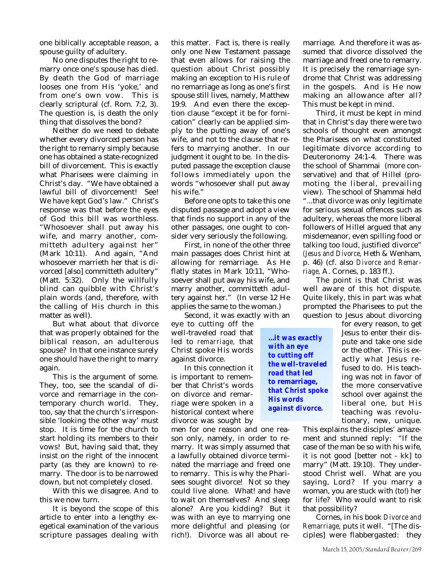one biblically acceptable reason, a spouse guilty of adultery.

No one disputes the right to remarry once one's spouse has died. By death the God of marriage looses one from His 'yoke,' and from one's own vow. This is clearly scriptural (cf. Rom. 7:2, 3). The question is, is death the only thing that dissolves the bond?

Neither do we need to debate whether every divorced person has the right to remarry simply because one has obtained a state-recognized bill of divorcement. This is exactly what Pharisees were claiming in Christ's day. "We have obtained a lawful bill of divorcement! See! We have kept God's law." Christ's response was that before the eyes of God this bill was worthless. "Whosoever shall put away his wife, and marry another, committeth adultery against her" (Mark 10:11). And again, "And whosoever marrieth her that is divorced [also] committeth adultery" (Matt. 5:32). Only the willfully blind can quibble with Christ's plain words (and, therefore, with the calling of His church in this matter as well).

But what about that divorce that was properly obtained for the biblical reason, an adulterous spouse? In that one instance surely one should have the right to marry again.

This is the argument of some. They, too, see the scandal of divorce and remarriage in the contemporary church world. They, too, say that the church's irresponsible 'looking the other way' must stop. It is time for the church to start holding its members to their vows! But, having said that, they insist on the right of the innocent party (as they are known) to remarry. The door is to be narrowed down, but not completely closed.

With this we disagree. And to this we now turn.

It is beyond the scope of this article to enter into a lengthy exegetical examination of the various scripture passages dealing with

this matter. Fact is, there is really only one New Testament passage that even allows for raising the question about Christ possibly making an exception to His rule of no remarriage as long as one's first spouse still lives, namely, Matthew 19:9. And even there the exception clause "except it be for fornication" clearly can be applied simply to the putting away of one's wife, and not to the clause that refers to marrying another. In our judgment it ought to be. In the disputed passage the exception clause follows immediately upon the words "whosoever shall put away his wife."

Before one opts to take this one disputed passage and adopt a view that finds no support in any of the other passages, one ought to consider very seriously the following.

First, in none of the other three main passages does Christ hint at allowing for remarriage. As He flatly states in Mark 10:11, "Whosoever shall put away his wife, and marry another, committeth adultery against her." (In verse 12 He applies the same to the woman.)

Second, it was exactly with an eye to cutting off the well-traveled road that led to *remarriage,* that Christ spoke His words against divorce.

In this connection it is important to remember that Christ's words on divorce and remarriage were spoken in a historical context where divorce was sought by

men for one reason and one reason only, namely, in order to remarry. It was simply assumed that a lawfully obtained divorce terminated the marriage and freed one to remarry. This is why the Pharisees sought divorce! Not so they could live alone. What! and have to wait on themselves? And sleep alone? Are you kidding? But it was with an eye to marrying one more delightful and pleasing (or rich!). Divorce was all about remarriage. And therefore it was assumed that divorce dissolved the marriage and freed one to remarry. It is precisely the remarriage syndrome that Christ was addressing in the gospels. And is He now making an allowance after all? This must be kept in mind.

Third, it must be kept in mind that in Christ's day there were two schools of thought even amongst the Pharisees on what constituted legitimate divorce according to Deuteronomy 24:1-4. There was the school of Shammai (more conservative) and that of Hillel (promoting the liberal, prevailing view). The school of Shammai held "...that divorce was only legitimate for serious sexual offences such as adultery, whereas the more liberal followers of Hillel argued that any misdemeanor, even spilling food or talking too loud, justified divorce" *(Jesus and Divorce,* Heth & Wenham, p. 46) (cf. also *Divorce and Remarriage,* A. Cornes, p. 183 ff.).

The point is that Christ was well aware of this hot dispute. Quite likely, this in part was what prompted the Pharisees to put the question to Jesus about divorcing

*...it was exactly with an eye to cutting off the well-traveled road that led to* **remarriage,** *that Christ spoke His words against divorce.*

for every reason, to get Jesus to enter their dispute and take one side or the other. This is exactly what Jesus refused to do. His teaching was not in favor of the more conservative school over against the liberal one, but His teaching was revolutionary, new, unique.

This explains the disciples' amazement and stunned reply: "If the case of the man be so with his wife, it is not good [better not - kk] to marry" (Matt. 19:10). They understood Christ well. What are you saying, Lord? If you marry a woman, you are stuck with (to!) her for life? Who would want to risk that possibility?

Cornes, in his book *Divorce and Remarriage,* puts it well. "[The disciples] were flabbergasted: they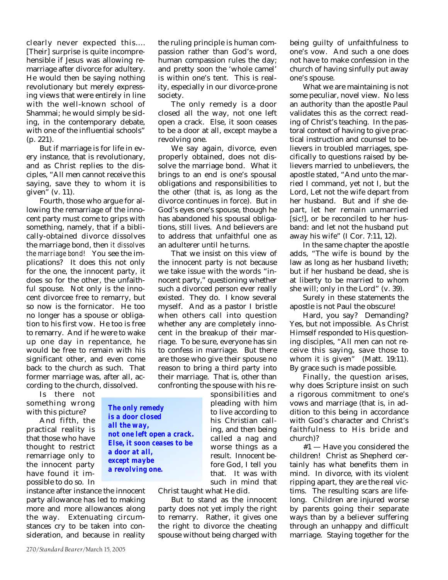clearly never expected this.... [Their] surprise is quite incomprehensible if Jesus was allowing remarriage after divorce for adultery. He would then be saying nothing revolutionary but merely expressing views that were entirely in line with the well-known school of Shammai; he would simply be siding, in the contemporary debate, with one of the influential schools" (p. 221).

But if marriage is for life in every instance, that is revolutionary, and as Christ replies to the disciples, "All men cannot receive this saying, save they to whom it is given" (v. 11).

Fourth, those who argue for allowing the remarriage of the innocent party must come to grips with something, namely, that if a biblically-obtained divorce dissolves the marriage bond, then *it dissolves the marriage bond!* You see the implications? It does this not only for the one, the innocent party, it does so for the other, the unfaithful spouse. Not only is the innocent divorcee free to remarry, but so now is the fornicator. He too no longer has a spouse or obligation to his first vow. He too is free to remarry. And if he were to wake up one day in repentance, he would be free to remain with his significant other, and even come back to the church as such. That former marriage was, after all, according to the church, dissolved.

Is there not something wrong with this picture?

And fifth, the practical reality is that those who have thought to restrict remarriage only to the innocent party have found it impossible to do so. In

*The only remedy is a door closed all the way, not one left open a crack. Else, it soon ceases to be a door at all, except maybe a revolving one.*

instance after instance the innocent party allowance has led to making more and more allowances along the way. Extenuating circumstances cry to be taken into consideration, and because in reality

the ruling principle is human compassion rather than God's word, human compassion rules the day; and pretty soon the 'whole camel' is within one's tent. This is reality, especially in our divorce-prone society.

The only remedy is a door closed all the way, not one left open a crack. Else, it soon ceases to be a door at all, except maybe a revolving one.

We say again, divorce, even properly obtained, does not dissolve the marriage bond. What it brings to an end is one's spousal obligations and responsibilities to the other (that is, as long as the divorce continues in force). But in God's eyes one's spouse, though he has abandoned his spousal obligations, still lives. And believers are to address that unfaithful one as an adulterer until he turns.

That we insist on this view of the innocent party is not because we take issue with the words "innocent party," questioning whether such a divorced person ever really existed. They do. I know several myself. And as a pastor I bristle when others call into question whether any are completely innocent in the breakup of their marriage. To be sure, everyone has sin to confess in marriage. But there are those who give their spouse no reason to bring a third party into their marriage. That is, other than confronting the spouse with his re-

> sponsibilities and pleading with him to live according to his Christian calling, and then being called a nag and worse things as a result. Innocent before God, I tell you that. It was with such in mind that

Christ taught what He did.

But to stand as the innocent party does not yet imply the right to remarry. Rather, it gives one the right to divorce the cheating spouse without being charged with

being guilty of unfaithfulness to one's vow. And such a one does not have to make confession in the church of having sinfully put away one's spouse.

What we are maintaining is not some peculiar, novel view. No less an authority than the apostle Paul validates this as the correct reading of Christ's teaching. In the pastoral context of having to give practical instruction and counsel to believers in troubled marriages, specifically to questions raised by believers married to unbelievers, the apostle stated, "And unto the married I command, yet not I, but the Lord, Let not the wife depart from her husband. But and if she depart, let her remain unmarried [sic!], or be reconciled to her husband: and let not the husband put away his wife" (I Cor. 7:11, 12).

In the same chapter the apostle adds, "The wife is bound by the law as long as her husband liveth; but if her husband be dead, she is at liberty to be married to whom she will; only in the Lord" (v. 39).

Surely in these statements the apostle is not Paul the obscure!

Hard, you say? Demanding? Yes, but not impossible. As Christ Himself responded to His questioning disciples, "All men can not receive this saying, save those to whom it is given" (Matt. 19:11). By grace such is made possible.

Finally, the question arises, why does Scripture insist on such a rigorous commitment to one's vows and marriage (that is, in addition to this being in accordance with God's character and Christ's faithfulness to His bride and church)?

#1 — Have you considered the children! Christ as Shepherd certainly has what benefits them in mind. In divorce, with its violent ripping apart, they are the real victims. The resulting scars are lifelong. Children are injured worse by parents going their separate ways than by a believer suffering through an unhappy and difficult marriage. Staying together for the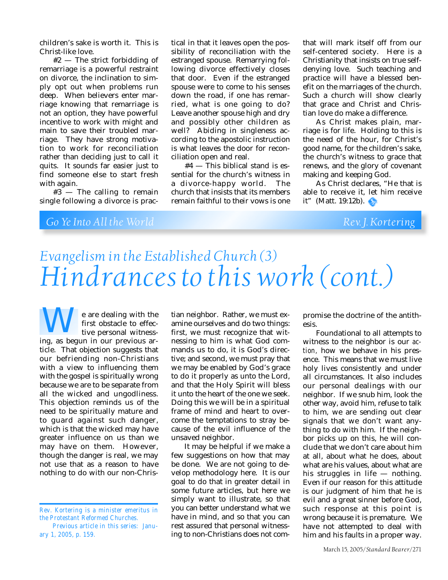children's sake is worth it. This is Christ-like love.

#2 — The strict forbidding of remarriage is a powerful restraint on divorce, the inclination to simply opt out when problems run deep. When believers enter marriage knowing that remarriage is not an option, they have powerful incentive to work with might and main to save their troubled marriage. They have strong motivation to work for reconciliation rather than deciding just to call it quits. It sounds far easier just to find someone else to start fresh with again.

#3 — The calling to remain single following a divorce is prac-

tical in that it leaves open the possibility of reconciliation with the estranged spouse. Remarrying following divorce effectively closes that door. Even if the estranged spouse were to come to his senses down the road, if one has remarried, what is one going to do? Leave another spouse high and dry and possibly other children as well? Abiding in singleness according to the apostolic instruction is what leaves the door for reconciliation open and real.

#4 — This biblical stand is essential for the church's witness in a divorce-happy world. The church that insists that its members remain faithful to their vows is one that will mark itself off from our self-centered society. Here is a Christianity that insists on true selfdenying love. Such teaching and practice will have a blessed benefit on the marriages of the church. Such a church will show clearly that grace and Christ and Christian love do make a difference.

As Christ makes plain, marriage is for life. Holding to this is the need of the hour, for Christ's good name, for the children's sake, the church's witness to grace that renews, and the glory of covenant making and keeping God.

As Christ declares, "He that is able to receive it, let him receive it" (Matt. 19:12b).

## *Go Ye Into All the World Rev. J. Kortering*

## *Evangelism in the Established Church (3) Hindrances to this work (cont.)*

e are dealing with the first obstacle to effective personal witness-**EXECUTE 12 SET AND ARE SET AND ARE SET AND ARE SET AND ARE SET AND ARE SET AND ARE SET AND ARE SET AND ARE SET AND ARE SET AND ARE SET AND ARE SET AND ARE SET AND ARE SET AND ARE SET AND ARE SET AND ARE SET AND ARE SET AN** ticle. That objection suggests that our befriending non-Christians with a view to influencing them with the gospel is spiritually wrong because we are to be separate from all the wicked and ungodliness. This objection reminds us of the need to be spiritually mature and to guard against such danger, which is that the wicked may have greater influence on us than we may have on them. However, though the danger is real, we may not use that as a reason to have nothing to do with our non-Chris-

tian neighbor. Rather, we must examine ourselves and do two things: first, we must recognize that witnessing to him is what God commands us to do, it is God's directive; and second, we must pray that we may be enabled by God's grace to do it properly as unto the Lord, and that the Holy Spirit will bless it unto the heart of the one we seek. Doing this we will be in a spiritual frame of mind and heart to overcome the temptations to stray because of the evil influence of the unsaved neighbor.

It may be helpful if we make a few suggestions on how that may be done. We are not going to develop methodology here. It is our goal to do that in greater detail in some future articles, but here we simply want to illustrate, so that you can better understand what we have in mind, and so that you can rest assured that personal witnessing to non-Christians does not com-

promise the doctrine of the antithesis.

Foundational to all attempts to witness to the neighbor is our *action,* how we behave in his presence. This means that we must live holy lives consistently and under all circumstances. It also includes our personal dealings with our neighbor. If we snub him, look the other way, avoid him, refuse to talk to him, we are sending out clear signals that we don't want anything to do with him. If the neighbor picks up on this, he will conclude that we don't care about him at all, about what he does, about what are his values, about what are his struggles in life — nothing. Even if our reason for this attitude is our judgment of him that he is evil and a great sinner before God, such response at this point is wrong because it is premature. We have not attempted to deal with him and his faults in a proper way.

*Rev. Kortering is a minister emeritus in the Protestant Reformed Churches. Previous article in this series: Janu-*

*ary 1, 2005, p. 159.*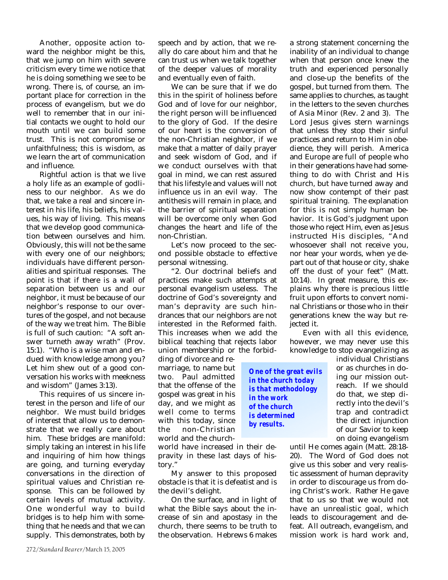Another, opposite action toward the neighbor might be this, that we jump on him with severe criticism every time we notice that he is doing something we see to be wrong. There is, of course, an important place for correction in the process of evangelism, but we do well to remember that in our initial contacts we ought to hold our mouth until we can build some trust. This is not compromise or unfaithfulness; this is wisdom, as we learn the art of communication and influence.

Rightful action is that we live a holy life as an example of godliness to our neighbor. As we do that, we take a real and sincere interest in his life, his beliefs, his values, his way of living. This means that we develop good communication between ourselves and him. Obviously, this will not be the same with every one of our neighbors; individuals have different personalities and spiritual responses. The point is that if there is a wall of separation between us and our neighbor, it must be because of our neighbor's response to our overtures of the gospel, and not because of the way we treat him. The Bible is full of such caution: "A soft answer turneth away wrath" (Prov. 15:1). "Who is a wise man and endued with knowledge among you? Let him shew out of a good conversation his works with meekness and wisdom" (James 3:13).

This requires of us sincere interest in the person and life of our neighbor. We must build bridges of interest that allow us to demonstrate that we really care about him. These bridges are manifold: simply taking an interest in his life and inquiring of him how things are going, and turning everyday conversations in the direction of spiritual values and Christian response. This can be followed by certain levels of mutual activity. One wonderful way to build bridges is to help him with something that he needs and that we can supply. This demonstrates, both by

speech and by action, that we really do care about him and that he can trust us when we talk together of the deeper values of morality and eventually even of faith.

We can be sure that if we do this in the spirit of holiness before God and of love for our neighbor, the right person will be influenced to the glory of God. If the desire of our heart is the conversion of the non-Christian neighbor, if we make that a matter of daily prayer and seek wisdom of God, and if we conduct ourselves with that goal in mind, we can rest assured that his lifestyle and values will not influence us in an evil way. The antithesis will remain in place, and the barrier of spiritual separation will be overcome only when God changes the heart and life of the non-Christian.

Let's now proceed to the second possible obstacle to effective personal witnessing.

"2. Our doctrinal beliefs and practices make such attempts at personal evangelism useless. The doctrine of God's sovereignty and man's depravity are such hindrances that our neighbors are not interested in the Reformed faith. This increases when we add the biblical teaching that rejects labor union membership or the forbid-

ding of divorce and remarriage, to name but two. Paul admitted that the offense of the gospel was great in his day, and we might as well come to terms with this today, since the non-Christian world and the church-

world have increased in their depravity in these last days of history."

My answer to this proposed obstacle is that it is defeatist and is the devil's delight.

On the surface, and in light of what the Bible says about the increase of sin and apostasy in the church, there seems to be truth to the observation. Hebrews 6 makes

a strong statement concerning the inability of an individual to change when that person once knew the truth and experienced personally and close-up the benefits of the gospel, but turned from them. The same applies to churches, as taught in the letters to the seven churches of Asia Minor (Rev. 2 and 3). The Lord Jesus gives stern warnings that unless they stop their sinful practices and return to Him in obedience, they will perish. America and Europe are full of people who in their generations have had something to do with Christ and His church, but have turned away and now show contempt of their past spiritual training. The explanation for this is not simply human behavior. It is God's judgment upon those who reject Him, even as Jesus instructed His disciples, "And whosoever shall not receive you, nor hear your words, when ye depart out of that house or city, shake off the dust of your feet" (Matt. 10:14). In great measure, this explains why there is precious little fruit upon efforts to convert nominal Christians or those who in their generations knew the way but rejected it.

Even with all this evidence, however, we may never use this knowledge to stop evangelizing as

individual Christians or as churches in doing our mission outreach. If we should do that, we step directly into the devil's trap and contradict the direct injunction of our Savior to keep on doing evangelism

until He comes again (Matt. 28:18- 20). The Word of God does not give us this sober and very realistic assessment of human depravity in order to discourage us from doing Christ's work. Rather He gave that to us so that we would not have an unrealistic goal, which leads to discouragement and defeat. All outreach, evangelism, and mission work is hard work and,

*in the church today is that methodology in the work of the church is determined by results.*

*One of the great evils*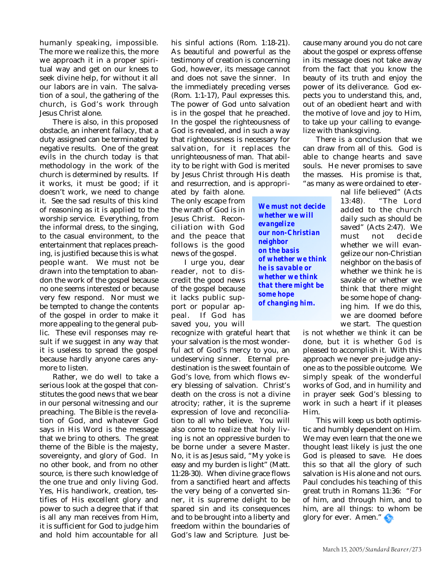humanly speaking, impossible. The more we realize this, the more we approach it in a proper spiritual way and get on our knees to seek divine help, for without it all our labors are in vain. The salvation of a soul, the gathering of the church, is God's work through Jesus Christ alone.

There is also, in this proposed obstacle, an inherent fallacy, that a duty assigned can be terminated by negative results. One of the great evils in the church today is that methodology in the work of the church is determined by results. If it works, it must be good; if it doesn't work, we need to change it. See the sad results of this kind of reasoning as it is applied to the worship service. Everything, from the informal dress, to the singing, to the casual environment, to the entertainment that replaces preaching, is justified because this is what people want. We must not be drawn into the temptation to abandon the work of the gospel because no one seems interested or because very few respond. Nor must we be tempted to change the contents of the gospel in order to make it more appealing to the general public. These evil responses may result if we suggest in any way that it is useless to spread the gospel because hardly anyone cares anymore to listen.

Rather, we do well to take a serious look at the gospel that constitutes the good news that we bear in our personal witnessing and our preaching. The Bible is the revelation of God, and whatever God says in His Word is the message that we bring to others. The great theme of the Bible is the majesty, sovereignty, and glory of God. In no other book, and from no other source, is there such knowledge of the one true and only living God. Yes, His handiwork, creation, testifies of His excellent glory and power to such a degree that if that is all any man receives from Him, it is sufficient for God to judge him and hold him accountable for all

his sinful actions (Rom. 1:18-21). As beautiful and powerful as the testimony of creation is concerning God, however, its message cannot and does not save the sinner. In the immediately preceding verses (Rom. 1:1-17), Paul expresses this. The power of God unto salvation is in the gospel that he preached. In the gospel the righteousness of God is revealed, and in such a way that righteousness is necessary for salvation, for it replaces the unrighteousness of man. That ability to be right with God is merited by Jesus Christ through His death and resurrection, and is appropri-

> *We must not decide whether we will evangelize*

*our non-Christian*

*of whether we think he is savable or whether we think that there might be*

*neighbor on the basis*

*some hope of changing him.*

ated by faith alone. The only escape from the wrath of God is in Jesus Christ. Reconciliation with God and the peace that follows is the good news of the gospel.

I urge you, dear reader, not to discredit the good news of the gospel because it lacks public support or popular appeal. If God has saved you, you will

recognize with grateful heart that your salvation is the most wonderful act of God's mercy to you, an undeserving sinner. Eternal predestination is the sweet fountain of God's love, from which flows every blessing of salvation. Christ's death on the cross is not a divine atrocity; rather, it is the supreme expression of love and reconciliation to all who believe. You will also come to realize that holy living is not an oppressive burden to be borne under a severe Master. No, it is as Jesus said, "My yoke is easy and my burden is light" (Matt. 11:28-30). When divine grace flows from a sanctified heart and affects the very being of a converted sinner, it is supreme delight to be spared sin and its consequences and to be brought into a liberty and freedom within the boundaries of God's law and Scripture. Just because many around you do not care about the gospel or express offense in its message does not take away from the fact that you know the beauty of its truth and enjoy the power of its deliverance. God expects you to understand this, and, out of an obedient heart and with the motive of love and joy to Him, to take up your calling to evangelize with thanksgiving.

There is a conclusion that we can draw from all of this. God is able to change hearts and save souls. He never promises to save the masses. His promise is that, "as many as were ordained to eter-

nal life believed" (Acts 13:48). "The Lord added to the church daily such as should be saved" (Acts 2:47). We must not decide whether we will evangelize our non-Christian neighbor on the basis of whether we think he is savable or whether we think that there might be some hope of changing him. If we do this, we are doomed before we start. The question

is not whether *we* think it can be done, but it is whether *God* is pleased to accomplish it. With this approach we never pre-judge anyone as to the possible outcome. We simply speak of the wonderful works of God, and in humility and in prayer seek God's blessing to work in such a heart if it pleases Him.

This will keep us both optimistic and humbly dependent on Him. We may even learn that the one we thought least likely is just the one God is pleased to save. He does this so that all the glory of such salvation is His alone and not ours. Paul concludes his teaching of this great truth in Romans 11:36: "For of him, and through him, and to him, are all things: to whom be glory for ever. Amen."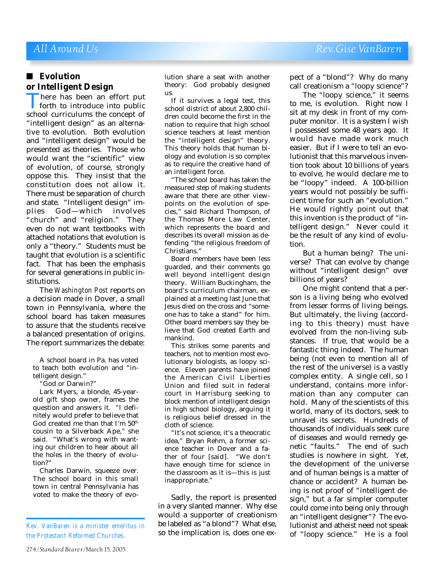### ■ **Evolution or Intelligent Design**

There has been an effort put<br>forth to introduce into public<br>school curriculums the concept of forth to introduce into public school curriculums the concept of "intelligent design" as an alternative to evolution. Both evolution and "intelligent design" would be presented as theories. Those who would want the "scientific" view of evolution, of course, strongly oppose this. They insist that the constitution does not allow it. There must be separation of church and state. "Intelligent design" implies God—which involves "church" and "religion." They even do not want textbooks with attached notations that evolution is only a "theory." Students must be taught that evolution is a scientific fact. That has been the emphasis for several generations in public institutions.

The *Washington Post* reports on a decision made in Dover, a small town in Pennsylvania, where the school board has taken measures to assure that the students receive a balanced presentation of origins. The report summarizes the debate:

A school board in Pa. has voted to teach both evolution and "intelligent design."

"God or Darwin?"

Lark Myers, a blonde, 45-yearold gift shop owner, frames the question and answers it. "I definitely would prefer to believe that God created me than that I'm 50th cousin to a Silverback Ape," she said. "What's wrong with wanting our children to hear about all the holes in the theory of evolution?"

Charles Darwin, squeeze over. The school board in this small town in central Pennsylvania has voted to make the theory of evolution share a seat with another theory: God probably designed us.

If it survives a legal test, this school district of about 2,800 children could become the first in the nation to require that high school science teachers at least mention the "intelligent design" theory. This theory holds that human biology and evolution is so complex as to require the creative hand of an intelligent force.

"The school board has taken the measured step of making students aware that there are other viewpoints on the evolution of species," said Richard Thompson, of the Thomas More Law Center, which represents the board and describes its overall mission as defending "the religious freedom of Christians."

Board members have been less guarded, and their comments go well beyond intelligent design theory. William Buckingham, the board's curriculum chairman, explained at a meeting last June that Jesus died on the cross and "someone has to take a stand" for him. Other board members say they believe that God created Earth and mankind.

This strikes some parents and teachers, not to mention most evolutionary biologists, as loopy science. Eleven parents have joined the American Civil Liberties Union and filed suit in federal court in Harrisburg seeking to block mention of intelligent design in high school biology, arguing it is religious belief dressed in the cloth of science.

"It's not science, it's a theocratic idea," Bryan Rehm, a former science teacher in Dover and a father of four [said]. "We don't have enough time for science in the classroom as it is—this is just inappropriate."

Sadly, the report is presented in a very slanted manner. Why else would a supporter of creationism be labeled as "a blond"? What else, so the implication is, does one expect of a "blond"? Why do many call creationism a "loopy science"?

The "loopy science," it seems to me, is evolution. Right now I sit at my desk in front of my computer monitor. It is a system I wish I possessed some 48 years ago. It would have made work much easier. But if I were to tell an evolutionist that this marvelous invention took about 10 billions of years to evolve, he would declare me to be "loopy" indeed. A 100-billion years would not possibly be sufficient time for such an "evolution." He would rightly point out that this invention is the product of "intelligent design." Never could it be the result of any kind of evolution.

But a human being? The universe? That can evolve by change without "intelligent design" over billions of years?

One might contend that a person is a living being who evolved from lesser forms of living beings. But ultimately, the living (according to this theory) must have evolved from the non-living substances. If true, that would be a fantastic thing indeed. The human being (not even to mention all of the rest of the universe) is a vastly complex entity. A single cell, so I understand, contains more information than any computer can hold. Many of the scientists of this world, many of its doctors, seek to unravel its secrets. Hundreds of thousands of individuals seek cure of diseases and would remedy genetic "faults." The end of such studies is nowhere in sight. Yet, the development of the universe and of human beings is a matter of chance or accident? A human being is not proof of "intelligent design," but a far simpler computer could come into being only through an "intelligent designer"? The evolutionist and atheist need not speak of "loopy science." He is a fool

*Rev. VanBaren is a minister emeritus in the Protestant Reformed Churches.*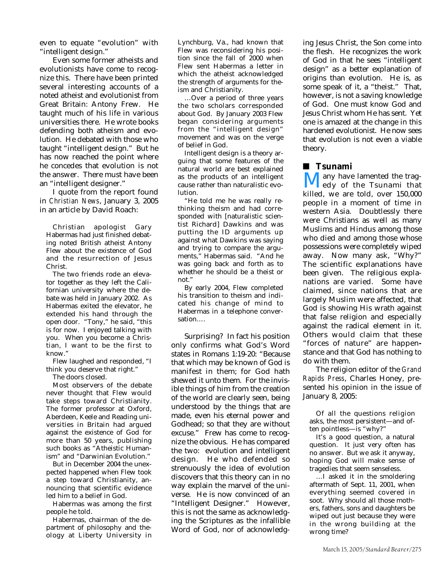even to equate "evolution" with "intelligent design."

Even some former atheists and evolutionists have come to recognize this. There have been printed several interesting accounts of a noted atheist and evolutionist from Great Britain: Antony Frew. He taught much of his life in various universities there. He wrote books defending both atheism and evolution. He debated with those who taught "intelligent design." But he has now reached the point where he concedes that evolution is not the answer. There must have been an "intelligent designer."

I quote from the report found in *Christian News*, January 3, 2005 in an article by David Roach:

Christian apologist Gary Habermas had just finished debating noted British atheist Antony Flew about the existence of God and the resurrection of Jesus Christ.

The two friends rode an elevator together as they left the Californian university where the debate was held in January 2002. As Habermas exited the elevator, he extended his hand through the open door. "Tony," he said, "this is for now. I enjoyed talking with you. When you become a Christian, I want to be the first to know."

Flew laughed and responded, "I think you deserve that right."

The doors closed.

Most observers of the debate never thought that Flew would take steps toward Christianity. The former professor at Oxford, Aberdeen, Keele and Reading universities in Britain had argued against the existence of God for more than 50 years, publishing such books as "Atheistic Humanism" and "Darwinian Evolution."

But in December 2004 the unexpected happened when Flew took a step toward Christianity, announcing that scientific evidence led him to a belief in God.

Habermas was among the first people he told.

Habermas, chairman of the department of philosophy and theology at Liberty University in Lynchburg, Va., had known that Flew was reconsidering his position since the fall of 2000 when Flew sent Habermas a letter in which the atheist acknowledged the strength of arguments for theism and Christianity.

…Over a period of three years the two scholars corresponded about God. By January 2003 Flew began considering arguments from the "intelligent design" movement and was on the verge of belief in God.

Intelligent design is a theory arguing that some features of the natural world are best explained as the products of an intelligent cause rather than naturalistic evolution.

"He told me he was really rethinking theism and had corresponded with [naturalistic scientist Richard] Dawkins and was putting the ID arguments up against what Dawkins was saying and trying to compare the arguments," Habermas said. "And he was going back and forth as to whether he should be a theist or not."

By early 2004, Flew completed his transition to theism and indicated his change of mind to Habermas in a telephone conversation….

Surprising? In fact his position only confirms what God's Word states in Romans 1:19-20: "Because that which may be known of God is manifest in them; for God hath shewed it unto them. For the invisible things of him from the creation of the world are clearly seen, being understood by the things that are made, even his eternal power and Godhead; so that they are without excuse." Frew has come to recognize the obvious. He has compared the two: evolution and intelligent design. He who defended so strenuously the idea of evolution discovers that this theory can in no way explain the marvel of the universe. He is now convinced of an "Intelligent Designer." However, this is not the same as acknowledging the Scriptures as the infallible Word of God, nor of acknowledging Jesus Christ, the Son come into the flesh. He recognizes the work of God in that he sees "intelligent design" as a better explanation of origins than evolution. He is, as some speak of it, a "theist." That, however, is not a saving knowledge of God. One must know God and Jesus Christ whom He has sent. Yet one is amazed at the change in this hardened evolutionist. He now sees that evolution is not even a viable theory.

### ■ **Tsunami**

**Many have lamented the trag-**<br>killed, we are told, over 150,000 edy of the Tsunami that people in a moment of time in western Asia. Doubtlessly there were Christians as well as many Muslims and Hindus among those who died and among those whose possessions were completely wiped away. Now many ask, "Why?" The scientific explanations have been given. The religious explanations are varied. Some have claimed, since nations that are largely Muslim were affected, that God is showing His wrath against that false religion and especially against the radical element in it. Others would claim that these "forces of nature" are happenstance and that God has nothing to do with them.

The religion editor of the *Grand Rapids Press*, Charles Honey, presented his opinion in the issue of January 8, 2005:

Of all the questions religion asks, the most persistent—and often pointless—is "why?"

It's a good question, a natural question. It just very often has no answer. But we ask it anyway, hoping God will make sense of tragedies that seem senseless.

…I asked it in the smoldering aftermath of Sept. 11, 2001, when everything seemed covered in soot. Why should all those mothers, fathers, sons and daughters be wiped out just because they were in the wrong building at the wrong time?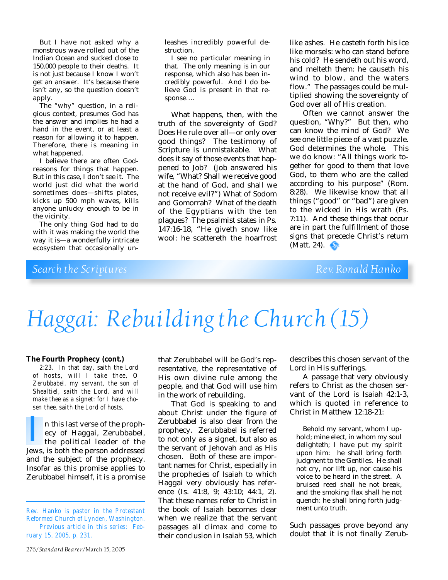But I have not asked why a monstrous wave rolled out of the Indian Ocean and sucked close to 150,000 people to their deaths. It is not just because I know I won't get an answer. It's because there isn't any, so the question doesn't apply.

The "why" question, in a religious context, presumes God has the answer and implies he had a hand in the event, or at least a reason for allowing it to happen. Therefore, there is meaning in what happened.

I believe there are often Godreasons for things that happen. But in this case, I don't see it. The world just did what the world sometimes does—shifts plates, kicks up 500 mph waves, kills anyone unlucky enough to be in the vicinity.

The only thing God had to do with it was making the world the way it is—a wonderfully intricate ecosystem that occasionally un-

leashes incredibly powerful destruction.

I see no particular meaning in that. The only meaning is in our response, which also has been incredibly powerful. And I do believe God is present in that response….

What happens, then, with the truth of the sovereignty of God? Does He rule over all—or only over good things? The testimony of Scripture is unmistakable. What does it say of those events that happened to Job? (Job answered his wife, "What? Shall we receive good at the hand of God, and shall we not receive evil?") What of Sodom and Gomorrah? What of the death of the Egyptians with the ten plagues? The psalmist states in Ps. 147:16-18, "He giveth snow like wool: he scattereth the hoarfrost

like ashes. He casteth forth his ice like morsels: who can stand before his cold? He sendeth out his word, and melteth them: he causeth his wind to blow, and the waters flow." The passages could be multiplied showing the sovereignty of God over all of His creation.

Often we cannot answer the question, "Why?" But then, who can know the mind of God? We see one little piece of a vast puzzle. God determines the whole. This we do know: "All things work together for good to them that love God, to them who are the called according to his purpose" (Rom. 8:28). We likewise know that all things ("good" or "bad") are given to the wicked in His wrath (Ps. 7:11). And these things that occur are in part the fulfillment of those signs that precede Christ's return (Matt. 24).  $\bullet$ 

## *Search the Scriptures* Rev. Ronald Hanko

# *Haggai: Rebuilding the Church (15)*

#### **The Fourth Prophecy (cont.)**

*2:23. In that day, saith the Lord of hosts, will I take thee, O Zerubbabel, my servant, the son of Shealtiel, saith the Lord, and will make thee as a signet: for I have chosen thee, saith the Lord of hosts.*

n this last verse of the prophecy of Haggai, Zerubbabel, the political leader of the n this last verse of the prophecy of Haggai, Zerubbabel,<br>the political leader of the<br>Jews, is both the person addressed and the subject of the prophecy. Insofar as this promise applies to Zerubbabel himself, it is a promise

that Zerubbabel will be God's representative, the representative of His own divine rule among the people, and that God will use him in the work of rebuilding.

That God is speaking to and about Christ under the figure of Zerubbabel is also clear from the prophecy. Zerubbabel is referred to not only as a signet, but also as the servant of Jehovah and as His chosen. Both of these are important names for Christ, especially in the prophecies of Isaiah to which Haggai very obviously has reference (Is. 41:8, 9; 43:10; 44:1, 2). That these names refer to Christ in the book of Isaiah becomes clear when we realize that the servant passages all climax and come to their conclusion in Isaiah 53, which

describes this chosen servant of the Lord in His sufferings.

A passage that very obviously refers to Christ as the chosen servant of the Lord is Isaiah 42:1-3, which is quoted in reference to Christ in Matthew 12:18-21:

Behold my servant, whom I uphold; mine elect, in whom my soul delighteth; I have put my spirit upon him: he shall bring forth judgment to the Gentiles. He shall not cry, nor lift up, nor cause his voice to be heard in the street. A bruised reed shall he not break, and the smoking flax shall he not quench: he shall bring forth judgment unto truth.

Such passages prove beyond any doubt that it is not finally Zerub-

*Rev. Hanko is pastor in the Protestant Reformed Church of Lynden, Washington. Previous article in this series: February 15, 2005, p. 231.*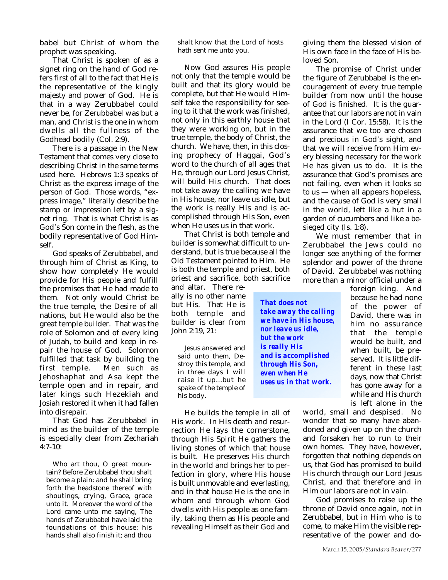babel but Christ of whom the prophet was speaking.

That Christ is spoken of as a signet ring on the hand of God refers first of all to the fact that He is the representative of the kingly majesty and power of God. He is that in a way Zerubbabel could never be, for Zerubbabel was but a man, and Christ is the one in whom dwells all the fullness of the Godhead bodily (Col. 2:9).

There is a passage in the New Testament that comes very close to describing Christ in the same terms used here. Hebrews 1:3 speaks of Christ as the express image of the person of God. Those words, "express image," literally describe the stamp or impression left by a signet ring. That is what Christ is as God's Son come in the flesh, as the bodily representative of God Himself.

God speaks of Zerubbabel, and through him of Christ as King, to show how completely He would provide for His people and fulfill the promises that He had made to them. Not only would Christ be the true temple, the Desire of all nations, but He would also be the great temple builder. That was the role of Solomon and of every king of Judah, to build and keep in repair the house of God. Solomon fulfilled that task by building the first temple. Men such as Jehoshaphat and Asa kept the temple open and in repair, and later kings such Hezekiah and Josiah restored it when it had fallen into disrepair.

That God has Zerubbabel in mind as the builder of the temple is especially clear from Zechariah 4:7-10:

Who art thou, O great mountain? Before Zerubbabel thou shalt become a plain: and he shall bring forth the headstone thereof with shoutings, crying, Grace, grace unto it. Moreover the word of the Lord came unto me saying, The hands of Zerubbabel have laid the foundations of this house: his hands shall also finish it; and thou

shalt know that the Lord of hosts hath sent me unto you.

Now God assures His people not only that the temple would be built and that its glory would be complete, but that He would Himself take the responsibility for seeing to it that the work was finished, not only in this earthly house that they were working on, but in the true temple, the body of Christ, the church. We have, then, in this closing prophecy of Haggai, God's word to the church of all ages that He, through our Lord Jesus Christ, will build His church. That does not take away the calling we have in His house, nor leave us idle, but the work is really His and is accomplished through His Son, even when He uses us in that work.

That Christ is both temple and builder is somewhat difficult to understand, but is true because all the Old Testament pointed to Him. He is both the temple and priest, both priest and sacrifice, both sacrifice

and altar. There really is no other name but His. That He is both temple and builder is clear from John 2:19, 21:

Jesus answered and said unto them, Destroy this temple, and in three days I will raise it up...but he spake of the temple of his body.

He builds the temple in all of His work. In His death and resurrection He lays the cornerstone, through His Spirit He gathers the living stones of which that house is built. He preserves His church in the world and brings her to perfection in glory, where His house is built unmovable and everlasting, and in that house He is the one in whom and through whom God dwells with His people as one family, taking them as His people and revealing Himself as their God and

giving them the blessed vision of His own face in the face of His beloved Son.

The promise of Christ under the figure of Zerubbabel is the encouragement of every true temple builder from now until the house of God is finished. It is the guarantee that our labors are not in vain in the Lord (I Cor. 15:58). It is the assurance that we too are chosen and precious in God's sight, and that we will receive from Him every blessing necessary for the work He has given us to do. It is the assurance that God's promises are not failing, even when it looks so to us — when all appears hopeless, and the cause of God is very small in the world, left like a hut in a garden of cucumbers and like a besieged city (Is. 1:8).

We must remember that in Zerubbabel the Jews could no longer see anything of the former splendor and power of the throne of David. Zerubbabel was nothing more than a minor official under a

> foreign king. And because he had none of the power of David, there was in him no assurance that the temple would be built, and when built, be preserved. It is little different in these last days, now that Christ has gone away for a while and His church is left alone in the

world, small and despised. No wonder that so many have abandoned and given up on the church and forsaken her to run to their own homes. They have, however, forgotten that nothing depends on us, that God has promised to build His church through our Lord Jesus Christ, and that therefore and in Him our labors are not in vain.

God promises to raise up the throne of David once again, not in Zerubbabel, but in Him who is to come, to make Him the visible representative of the power and do-

*That does not take away the calling we have in His house, nor leave us idle, but the work is really His and is accomplished through His Son, even when He uses us in that work.*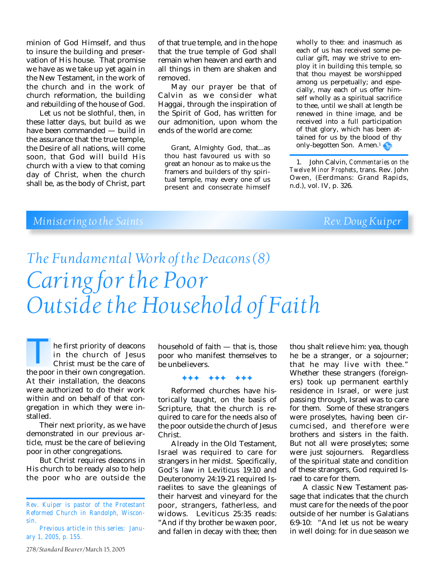minion of God Himself, and thus to insure the building and preservation of His house. That promise we have as we take up yet again in the New Testament, in the work of the church and in the work of church reformation, the building and rebuilding of the house of God.

Let us not be slothful, then, in these latter days, but build as we have been commanded — build in the assurance that the true temple, the Desire of all nations, will come soon, that God will build His church with a view to that coming day of Christ, when the church shall be, as the body of Christ, part

of that true temple, and in the hope that the true temple of God shall remain when heaven and earth and all things in them are shaken and removed.

May our prayer be that of Calvin as we consider what Haggai, through the inspiration of the Spirit of God, has written for our admonition, upon whom the ends of the world are come:

Grant, Almighty God, that...as thou hast favoured us with so great an honour as to make us the framers and builders of thy spiritual temple, may every one of us present and consecrate himself wholly to thee: and inasmuch as each of us has received some peculiar gift, may we strive to employ it in building this temple, so that thou mayest be worshipped among us perpetually; and especially, may each of us offer himself wholly as a spiritual sacrifice to thee, until we shall at length be renewed in thine image, and be received into a full participation of that glory, which has been attained for us by the blood of thy only-begotten Son. Amen.1

1. John Calvin, *Commentaries on the Twelve Minor Prophets*, trans. Rev. John Owen, (Eerdmans: Grand Rapids, n.d.), vol. IV, p. 326.

## *Ministering to the Saints Rev. Doug Kuiper Rev. Doug Kuiper*

# *The Fundamental Work of the Deacons (8) Caring for the Poor Outside the Household of Faith*

he first priority of deacons in the church of Jesus Christ must be the care of The first priority of deacons<br>
in the church of Jesus<br>
Christ must be the care of<br>
the poor in their own congregation. At their installation, the deacons were authorized to do their work within and on behalf of that congregation in which they were installed.

Their next priority, as we have demonstrated in our previous article, must be the care of believing poor in other congregations.

But Christ requires deacons in His church to be ready also to help the poor who are outside the

278/*Standard Bearer*/March 15, 2005

household of faith — that is, those poor who manifest themselves to be unbelievers.

#### ✦✦✦ ✦✦✦ ✦✦✦

Reformed churches have historically taught, on the basis of Scripture, that the church is required to care for the needs also of the poor outside the church of Jesus Christ.

Already in the Old Testament, Israel was required to care for strangers in her midst. Specifically, God's law in Leviticus 19:10 and Deuteronomy 24:19-21 required Israelites to save the gleanings of their harvest and vineyard for the poor, strangers, fatherless, and widows. Leviticus 25:35 reads: "And if thy brother be waxen poor, and fallen in decay with thee; then

thou shalt relieve him: yea, though he be a stranger, or a sojourner; that he may live with thee." Whether these strangers (foreigners) took up permanent earthly residence in Israel, or were just passing through, Israel was to care for them. Some of these strangers were proselytes, having been circumcised, and therefore were brothers and sisters in the faith. But not all were proselytes; some were just sojourners. Regardless of the spiritual state and condition of these strangers, God required Israel to care for them.

A classic New Testament passage that indicates that the church must care for the needs of the poor outside of her number is Galatians 6:9-10: "And let us not be weary in well doing: for in due season we

*Rev. Kuiper is pastor of the Protestant Reformed Church in Randolph, Wisconsin.*

*Previous article in this series: January 1, 2005, p. 155.*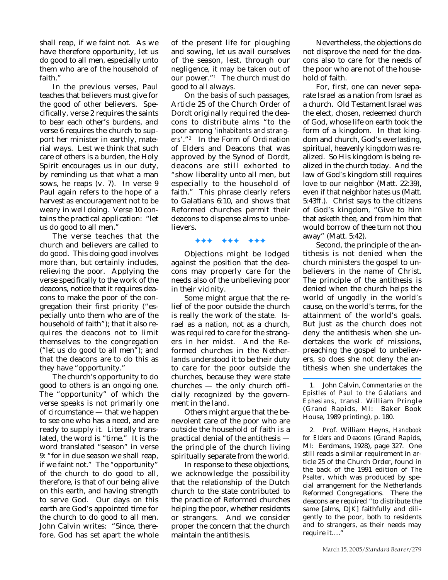shall reap, if we faint not. As we have therefore opportunity, let us do good to all men, especially unto them who are of the household of faith."

In the previous verses, Paul teaches that believers must give for the good of other believers. Specifically, verse 2 requires the saints to bear each other's burdens, and verse 6 requires the church to support her minister in earthly, material ways. Lest we think that such care of others is a burden, the Holy Spirit encourages us in our duty, by reminding us that what a man sows, he reaps (v. 7). In verse 9 Paul again refers to the hope of a harvest as encouragement not to be weary in well doing. Verse 10 contains the practical application: "let us do good to all men."

The verse teaches that the church and believers are called to do good. This doing good involves more than, but certainly includes, relieving the poor. Applying the verse specifically to the work of the deacons, notice that it requires deacons to make the poor of the congregation their first priority ("especially unto them who are of the household of faith"); that it also requires the deacons not to limit themselves to the congregation ("let us do good to all men"); and that the deacons are to do this as they have "opportunity."

The church's opportunity to do good to others is an ongoing one. The "opportunity" of which the verse speaks is not primarily one of circumstance — that we happen to see one who has a need, and are ready to supply it. Literally translated, the word is "time." It is the word translated "season" in verse 9: "for in due season we shall reap, if we faint not." The "opportunity" of the church to do good to all, therefore, is that of our being alive on this earth, and having strength to serve God. Our days on this earth are God's appointed time for the church to do good to all men. John Calvin writes: "Since, therefore, God has set apart the whole

of the present life for ploughing and sowing, let us avail ourselves of the season, lest, through our negligence, it may be taken out of our power."1 The church must do good to all always.

On the basis of such passages, Article 25 of the Church Order of Dordt originally required the deacons to distribute alms "to the poor among '*inhabitants and strangers*'."2 In the Form of Ordination of Elders and Deacons that was approved by the Synod of Dordt, deacons are still exhorted to "show liberality unto all men, but especially to the household of faith." This phrase clearly refers to Galatians 6:10, and shows that Reformed churches permit their deacons to dispense alms to unbelievers.

#### ✦✦✦ ✦✦✦ ✦✦✦

Objections might be lodged against the position that the deacons may properly care for the needs also of the unbelieving poor in their vicinity.

Some might argue that the relief of the poor outside the church is really the work of the state. Israel as a nation, not as a church, was required to care for the strangers in her midst. And the Reformed churches in the Netherlands understood it to be their duty to care for the poor outside the churches, because they were state churches — the only church officially recognized by the government in the land.

Others might argue that the benevolent care of the poor who are outside the household of faith is a practical denial of the antithesis the principle of the church living spiritually separate from the world.

In response to these objections, we acknowledge the possibility that the relationship of the Dutch church to the state contributed to the practice of Reformed churches helping the poor, whether residents or strangers. And we consider proper the concern that the church maintain the antithesis.

Nevertheless, the objections do not disprove the need for the deacons also to care for the needs of the poor who are not of the household of faith.

For, first, one can never separate Israel as a nation from Israel as a church. Old Testament Israel was the elect, chosen, redeemed church of God, whose life on earth took the form of a kingdom. In that kingdom and church, God's everlasting, spiritual, heavenly kingdom was realized. So His kingdom is being realized in the church today. And the law of God's kingdom still requires love to our neighbor (Matt. 22:39), even if that neighbor hates us (Matt. 5:43ff.). Christ says to the citizens of God's kingdom, "Give to him that asketh thee, and from him that would borrow of thee turn not thou away" (Matt. 5:42).

Second, the principle of the antithesis is not denied when the church ministers the gospel to unbelievers in the name of Christ. The principle of the antithesis is denied when the church helps the world of ungodly in the world's cause, on the world's terms, for the attainment of the world's goals. But just as the church does not deny the antithesis when she undertakes the work of missions, preaching the gospel to unbelievers, so does she not deny the antithesis when she undertakes the

2. Prof. William Heyns, *Handbook for Elders and Deacons* (Grand Rapids, MI: Eerdmans, 1928), page 327. One still reads a similar requirement in article 25 of the Church Order, found in the back of the 1991 edition of *The Psalter*, which was produced by special arrangement for the Netherlands Reformed Congregations. There the deacons are required "to distribute the same [alms, DJK] faithfully and diligently to the poor, both to residents and to strangers, as their needs may require it....'

<sup>1.</sup> John Calvin, *Commentaries on the Epistles of Paul to the Galatians and Ephesians*, transl. William Pringle (Grand Rapids, MI: Baker Book House, 1989 printing), p. 180.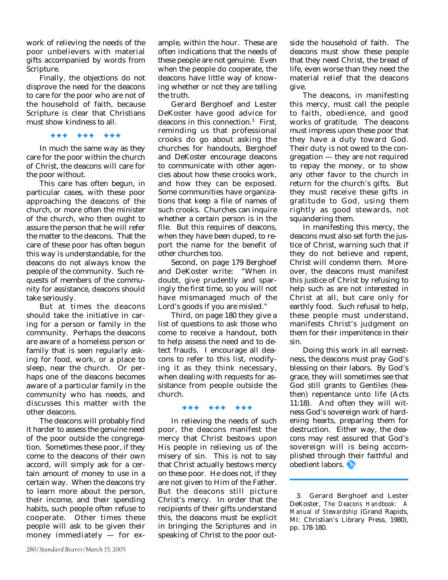work of relieving the needs of the poor unbelievers with material gifts accompanied by words from Scripture.

Finally, the objections do not disprove the need for the deacons to care for the poor who are not of the household of faith, because Scripture is clear that Christians must show kindness to all.

✦✦✦ ✦✦✦ ✦✦✦

In much the same way as they care for the poor within the church of Christ, the deacons will care for the poor without.

This care has often begun, in particular cases, with these poor approaching the deacons of the church, or more often the minister of the church, who then ought to assure the person that he will refer the matter to the deacons. That the care of these poor has often begun this way is understandable, for the deacons do not always know the people of the community. Such requests of members of the community for assistance, deacons should take seriously.

But at times the deacons should take the initiative in caring for a person or family in the community. Perhaps the deacons are aware of a homeless person or family that is seen regularly asking for food, work, or a place to sleep, near the church. Or perhaps one of the deacons becomes aware of a particular family in the community who has needs, and discusses this matter with the other deacons.

The deacons will probably find it harder to assess the genuine need of the poor outside the congregation. Sometimes these poor, if they come to the deacons of their own accord, will simply ask for a certain amount of money to use in a certain way. When the deacons try to learn more about the person, their income, and their spending habits, such people often refuse to cooperate. Other times these people will ask to be given their money immediately — for example, within the hour. These are often indications that the needs of these people are not genuine. Even when the people do cooperate, the deacons have little way of knowing whether or not they are telling the truth.

Gerard Berghoef and Lester DeKoster have good advice for deacons in this connection.3 First, reminding us that professional crooks do go about asking the churches for handouts, Berghoef and DeKoster encourage deacons to communicate with other agencies about how these crooks work, and how they can be exposed. Some communities have organizations that keep a file of names of such crooks. Churches can inquire whether a certain person is in the file. But this requires of deacons, when they have been duped, to report the name for the benefit of other churches too.

Second, on page 179 Berghoef and DeKoster write: "When in doubt, give prudently and sparingly the first time, so you will not have mismanaged much of the Lord's goods if you are misled."

Third, on page 180 they give a list of questions to ask those who come to receive a handout, both to help assess the need and to detect frauds. I encourage all deacons to refer to this list, modifying it as they think necessary, when dealing with requests for assistance from people outside the church.

#### ✦✦✦ ✦✦✦ ✦✦✦

In relieving the needs of such poor, the deacons manifest the mercy that Christ bestows upon His people in relieving us of the misery of sin. This is not to say that Christ actually bestows mercy on these poor. He does not, if they are not given to Him of the Father. But the deacons still picture Christ's mercy. In order that the recipients of their gifts understand this, the deacons must be explicit in bringing the Scriptures and in speaking of Christ to the poor outside the household of faith. The deacons must show these people that they need Christ, the bread of life, even worse than they need the material relief that the deacons give.

The deacons, in manifesting this mercy, must call the people to faith, obedience, and good works of gratitude. The deacons must impress upon these poor that they have a duty toward God. Their duty is not owed to the congregation — they are not required to repay the money, or to show any other favor to the church in return for the church's gifts. But they must receive these gifts in gratitude to God, using them rightly as good stewards, not squandering them.

In manifesting this mercy, the deacons must also set forth the justice of Christ, warning such that if they do not believe and repent, Christ will condemn them. Moreover, the deacons must manifest this justice of Christ by refusing to help such as are not interested in Christ at all, but care only for earthly food. Such refusal to help, these people must understand, manifests Christ's judgment on them for their impenitence in their sin.

Doing this work in all earnestness, the deacons must pray God's blessing on their labors. By God's grace, they will sometimes see that God still grants to Gentiles (heathen) repentance unto life (Acts 11:18). And often they will witness God's sovereign work of hardening hearts, preparing them for destruction. Either way, the deacons may rest assured that God's sovereign will is being accomplished through their faithful and obedient labors.

3. Gerard Berghoef and Lester DeKoster, *The Deacons Handbook: A Manual of Stewardship* (Grand Rapids, MI: Christian's Library Press, 1980), pp. 178-180.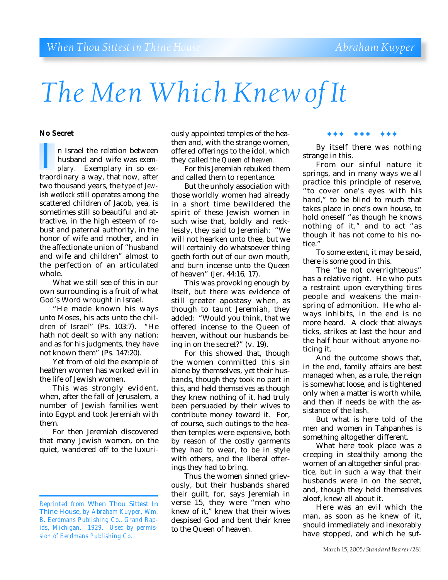# *The Men Which Knew of It*

#### **No Secret**

n Israel the relation between husband and wife was *exemplary.* Exemplary in so exn Israel the relation between<br>husband and wife was *exem-<br>plary.* Exemplary in so ex-<br>traordinary a way, that now, after two thousand years, the *type of Jewish wedlock* still operates among the scattered children of Jacob, yea, is sometimes still so beautiful and attractive, in the high esteem of robust and paternal authority, in the honor of wife and mother, and in the affectionate union of "husband and wife and children" almost to the perfection of an articulated whole.

What we still see of this in our own surrounding is a fruit of what God's Word wrought in Israel.

"He made known his ways unto Moses, his acts unto the children of Israel" (Ps. 103:7). "He hath not dealt so with any nation: and as for his judgments, they have not known them" (Ps. 147:20).

Yet from of old the example of heathen women has worked evil in the life of Jewish women.

This was strongly evident, when, after the fall of Jerusalem, a number of Jewish families went into Egypt and took Jeremiah with them.

For then Jeremiah discovered that many Jewish women, on the quiet, wandered off to the luxuriously appointed temples of the heathen and, with the strange women, offered offerings to the idol, which they called *the Queen of heaven.*

For this Jeremiah rebuked them and called them to repentance.

But the unholy association with those worldly women had already in a short time bewildered the spirit of these Jewish women in such wise that, boldly and recklessly, they said to Jeremiah: "We will not hearken unto thee, but we will certainly do whatsoever thing goeth forth out of our own mouth, and burn incense unto the Queen of heaven" (Jer. 44:16, 17).

This was provoking enough by itself, but there was evidence of still greater apostasy when, as though to taunt Jeremiah, they added: "Would you think, that we offered incense to the Queen of heaven, without our husbands being in on the secret?" (v. 19).

For this showed that, though the women committed this sin alone by themselves, yet their husbands, though they took no part in this, and held themselves as though they knew nothing of it, had truly been persuaded by their wives to contribute money toward it. For, of course, such outings to the heathen temples were expensive, both by reason of the costly garments they had to wear, to be in style with others, and the liberal offerings they had to bring.

Thus the women sinned grievously, but their husbands shared their guilt, for, says Jeremiah in verse 15, they were "men who knew of it," knew that their wives despised God and bent their knee to the Queen of heaven.

#### ✦✦✦ ✦✦✦ ✦✦✦

By itself there was nothing strange in this.

From our sinful nature it springs, and in many ways we all practice this principle of reserve, "to cover one's eyes with his hand," to be blind to much that takes place in one's own house, to hold oneself "as though he knows nothing of it," and to act "as though it has not come to his notice<sup>'</sup>

To some extent, it may be said, there is some good in this.

The "be not overrighteous" has a relative right. He who puts a restraint upon everything tires people and weakens the mainspring of admonition. He who always inhibits, in the end is no more heard. A clock that always ticks, strikes at last the hour and the half hour without anyone noticing it.

And the outcome shows that, in the end, family affairs are best managed when, as a rule, the reign is somewhat loose, and is tightened only when a matter is worth while, and then if needs be with the assistance of the lash.

But what is here told of the men and women in Tahpanhes is something altogether different.

What here took place was a creeping in stealthily among the women of an altogether sinful practice, but in such a way that their husbands were in on the secret, and, though they held themselves aloof, knew all about it.

Here was an evil which the man, as soon as he knew of it, should immediately and inexorably have stopped, and which he suf-

*Reprinted from* When Thou Sittest In Thine House, *by Abraham Kuyper, Wm. B. Eerdmans Publishing Co., Grand Rapids, Michigan. 1929. Used by permission of Eerdmans Publishing Co.*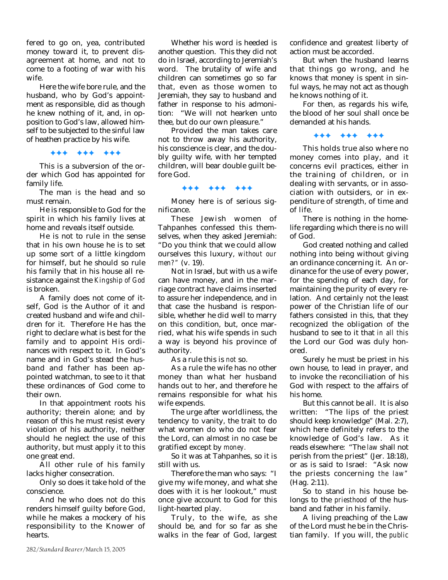fered to go on, yea, contributed money toward it, to prevent disagreement at home, and not to come to a footing of war with his wife.

Here the wife bore rule, and the husband, who by God's appointment as responsible, did as though he knew nothing of it, and, in opposition to God's law, allowed himself to be subjected to the sinful law of heathen practice by his wife.

✦✦✦ ✦✦✦ ✦✦✦

This is a subversion of the order which God has appointed for family life.

The man *is* the head and so must remain.

He is responsible to God for the spirit in which his family lives at home and reveals itself outside.

He is not to rule in the sense that in his own house he is to set up some sort of a little kingdom for himself, but he should so rule his family that in his house all resistance against the *Kingship of God* is broken.

A family does not come of itself, God is the Author of it and created husband and wife and children for it. Therefore He has the right to declare what is best for the family and to appoint His ordinances with respect to it. In God's name and in God's stead the husband and father has been appointed watchman, to see to it that these ordinances of God come to their own.

In that appointment roots his authority; therein alone; and by reason of this he must resist every violation of his authority, neither should he neglect the use of this authority, but must apply it to this one great end.

All other rule of his family lacks higher consecration.

Only so does it take hold of the conscience.

And he who does not do this renders himself guilty before God, while he makes a mockery of his responsibility to the Knower of hearts.

Whether his word is heeded is another question. This they did not do in Israel, according to Jeremiah's word. The brutality of wife and children can sometimes go so far that, even as those women to Jeremiah, they say to husband and father in response to his admonition: "We will not hearken unto thee, but do our own pleasure."

Provided the man takes care not to throw away his authority, his conscience is clear, and the doubly guilty wife, with her tempted children, will bear double guilt before God.

#### ✦✦✦ ✦✦✦ ✦✦✦

Money here is of serious significance.

These Jewish women of Tahpanhes confessed this themselves, when they asked Jeremiah: "Do you think that we could allow ourselves this luxury, *without our men?"* (v. 19).

Not in Israel, but with us a wife can have money, and in the marriage contract have claims inserted to assure her independence, and in that case the husband is responsible, whether he did well to marry on this condition, but, once married, what his wife spends in such a way is beyond his province of authority.

As a rule this is *not* so.

As a rule the wife has no other money than what her husband hands out to her, and therefore he remains responsible for what his wife expends.

The urge after worldliness, the tendency to vanity, the trait to do what women do who do not fear the Lord, can almost in no case be gratified except by *money.*

So it was at Tahpanhes, so it is still with us.

Therefore the man who says: "I give my wife money, and what she does with it is her lookout," must once give account to God for this light-hearted play.

Truly, to the wife, as she should be, and for so far as she walks in the fear of God, largest confidence and greatest liberty of action must be accorded.

But when the husband learns that things go wrong, and he knows that money is spent in sinful ways, he may not act as though he knows nothing of it.

For then, as regards his wife, the blood of her soul shall once be demanded at his hands.

✦✦✦ ✦✦✦ ✦✦✦

This holds true also where no money comes into play, and it concerns evil practices, either in the training of children, or in dealing with servants, or in association with outsiders, or in expenditure of strength, of time and of life.

There is nothing in the homelife regarding which there is no will of God.

God created nothing and called nothing into being without giving an ordinance concerning it. An ordinance for the use of every power, for the spending of each day, for maintaining the purity of every relation. And certainly not the least power of the Christian life of our fathers consisted in this, that they recognized the obligation of the husband to see to it that *in all this* the Lord our God was duly honored.

Surely he must be priest in his own house, to lead in prayer, and to invoke the reconciliation of his God with respect to the affairs of his home.

But this cannot be all. It is also written: "The lips of the priest should keep knowledge" (Mal. 2:7), which here definitely refers to the knowledge of God's law. As it reads elsewhere: "The *law* shall not perish from the priest" (Jer. 18:18), or as is said to Israel: "Ask now the priests concerning *the law"* (Hag. 2:11).

So to stand in his house belongs to the *priesthood* of the husband and father in his family.

A living preaching of the Law of the Lord must he be in the Christian family. If you will, the *public*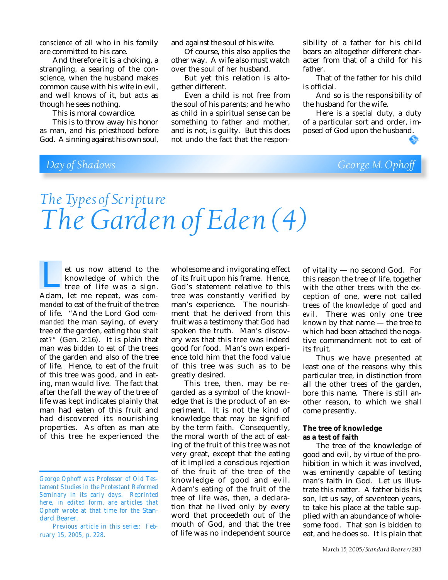*conscience* of all who in his family are committed to his care.

And therefore it is a choking, a strangling, a searing of the conscience, when the husband makes common cause with his wife in evil, and well knows of it, but acts as though he sees nothing.

This is moral cowardice.

This is to throw away his honor as man, and his priesthood before God. A sinning against his own soul, and against the soul of his wife.

Of course, this also applies the other way. A wife also must watch over the soul of her husband.

But yet this relation is altogether different.

Even a child is not free from the soul of his parents; and he who as child in a spiritual sense can be something to father and mother, and is not, is guilty. But this does not undo the fact that the responsibility of a father for his child bears an altogether different character from that of a child for his father.

That of the father for his child is official.

And so is the responsibility of the husband for the wife.

Here is a *special* duty, a duty of a particular sort and order, imposed of God upon the husband.

## *Day of Shadows George M. Ophoff*

ေ

## *The Types of Scripture The Garden of Eden (4)*

et us now attend to the knowledge of which the tree of life was a sign. et us now attend to the<br>
knowledge of which the<br>
tree of life was a sign.<br>
Adam, let me repeat, was *commanded* to eat of the fruit of the tree of life. "And the Lord God *commanded* the man saying, of every tree of the garden, eating *thou shalt eat?"* (Gen. 2:16). It is plain that man was *bidden to eat* of the trees of the garden and also of the tree of life. Hence, to eat of the fruit of this tree was good, and in eating, man would live. The fact that after the fall the way of the tree of life was kept indicates plainly that man had eaten of this fruit and had discovered its nourishing properties. As often as man ate of this tree he experienced the

wholesome and invigorating effect of its fruit upon his frame. Hence, God's statement relative to this tree was constantly verified by man's experience. The nourishment that he derived from this fruit was a testimony that God had spoken the truth. Man's discovery was that this tree was indeed good for food. Man's own experience told him that the food value of this tree was such as to be greatly desired.

This tree, then, may be regarded as a symbol of the knowledge that is the product of an experiment. It is not the kind of knowledge that may be signified by the term faith. Consequently, the moral worth of the act of eating of the fruit of this tree was not very great, except that the eating of it implied a conscious rejection of the fruit of the tree of the knowledge of good and evil. Adam's eating of the fruit of the tree of life was, then, a declaration that he lived only by every word that proceedeth out of the mouth of God, and that the tree of life was no independent source

of vitality — no second God. For this reason the tree of life, together with the other trees with the exception of one, were not called trees of *the knowledge of good and evil.* There was only one tree known by that name — the tree to which had been attached the negative commandment not to eat of its fruit.

Thus we have presented at least one of the reasons why this particular tree, in distinction from all the other trees of the garden, bore this name. There is still another reason, to which we shall come presently.

#### **The tree of knowledge as a test of faith**

The tree of the knowledge of good and evil, by virtue of the prohibition in which it was involved, was eminently capable of testing man's faith in God. Let us illustrate this matter. A father bids his son, let us say, of seventeen years, to take his place at the table supplied with an abundance of wholesome food. That son is bidden to eat, and he does so. It is plain that

*George Ophoff was Professor of Old Testament Studies in the Protestant Reformed Seminary in its early days. Reprinted here, in edited form, are articles that Ophoff wrote at that time for the* Standard Bearer.

*Previous article in this series: February 15, 2005, p. 228.*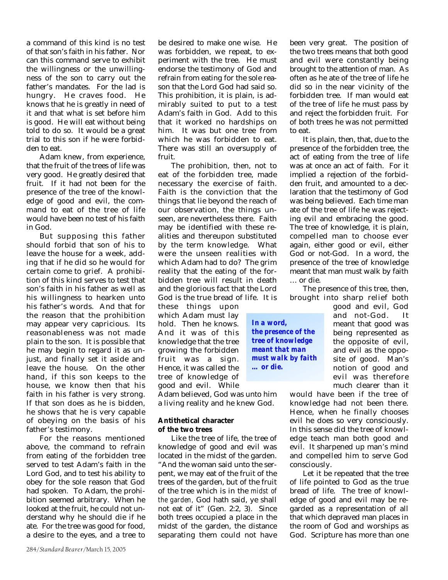a command of this kind is no test of that son's faith in his father. Nor can this command serve to exhibit the willingness or the unwillingness of the son to carry out the father's mandates. For the lad is hungry. He craves food. He knows that he is greatly in need of it and that what is set before him is good. He will eat without being told to do so. It would be a great trial to this son if he were forbidden to eat.

Adam knew, from experience, that the fruit of the trees of life was very good. He greatly desired that fruit. If it had not been for the presence of the tree of the knowledge of good and evil, the command to eat of the tree of life would have been no test of his faith in God.

But supposing this father should forbid that son of his to leave the house for a week, adding that if he did so he would for certain come to grief. A prohibition of this kind serves to test that son's faith in his father as well as his willingness to hearken unto his father's words. And that for the reason that the prohibition may appear very capricious. Its reasonableness was not made plain to the son. It is possible that he may begin to regard it as unjust, and finally set it aside and leave the house. On the other hand, if this son keeps to the house, we know then that his faith in his father is very strong. If that son does as he is bidden, he shows that he is very capable of obeying on the basis of his father's testimony.

For the reasons mentioned above, the command to refrain from eating of the forbidden tree served to test Adam's faith in the Lord God, and to test his ability to obey for the sole reason that God had spoken. To Adam, the prohibition seemed arbitrary. When he looked at the fruit, he could not understand why he should die if he ate. For the tree was good for food, a desire to the eyes, and a tree to

be desired to make one wise. He was forbidden, we repeat, to experiment with the tree. He must endorse the testimony of God and refrain from eating for the sole reason that the Lord God had said so. This prohibition, it is plain, is admirably suited to put to a test Adam's faith in God. Add to this that it worked no hardships on him. It was but one tree from which he was forbidden to eat. There was still an oversupply of fruit.

The prohibition, then, not to eat of the forbidden tree, made necessary the exercise of faith. Faith is the conviction that the things that lie beyond the reach of our observation, the things unseen, are nevertheless there. Faith may be identified with these realities and thereupon substituted by the term knowledge. What were the unseen realities with which Adam had to do? The grim reality that the eating of the forbidden tree will result in death and the glorious fact that the Lord God is the true bread of life. It is

these things upon which Adam must lay hold. Then he knows. And it was of this knowledge that the tree growing the forbidden fruit was a sign. Hence, it was called the tree of knowledge of good and evil. While

Adam believed, God was unto him a living reality and he knew God.

#### **Antithetical character of the two trees**

Like the tree of life, the tree of knowledge of good and evil was located in the midst of the garden. "And the woman said unto the serpent, we may eat of the fruit of the trees of the garden, but of the fruit of the tree which is in the *midst of the garden,* God hath said, ye shall not eat of it" (Gen. 2:2, 3). Since both trees occupied a place in the midst of the garden, the distance separating them could not have

been very great. The position of the two trees means that both good and evil were constantly being brought to the attention of man. As often as he ate of the tree of life he did so in the near vicinity of the forbidden tree. If man would eat of the tree of life he must pass by and reject the forbidden fruit. For of both trees he was not permitted to eat.

It is plain, then, that, due to the presence of the forbidden tree, the act of eating from the tree of life was at once an act of faith. For it implied a rejection of the forbidden fruit, and amounted to a declaration that the testimony of God was being believed. Each time man ate of the tree of life he was rejecting evil and embracing the good. The tree of knowledge, it is plain, compelled man to choose ever again, either good or evil, either God or not-God. In a word, the presence of the tree of knowledge meant that man must walk by faith … or die.

The presence of this tree, then, brought into sharp relief both

> good and evil, God and not-God. It meant that good was being represented as the opposite of evil, and evil as the opposite of good. Man's notion of good and evil was therefore much clearer than it

would have been if the tree of knowledge had not been there. Hence, when he finally chooses evil he does so very consciously. In this sense did the tree of knowledge teach man both good and evil. It sharpened up man's mind and compelled him to serve God consciously.

Let it be repeated that the tree of life pointed to God as the true bread of life. The tree of knowledge of good and evil may be regarded as a representation of all that which depraved man places in the room of God and worships as God. Scripture has more than one

*In a word, the presence of the tree of knowledge meant that man must walk by faith … or die.*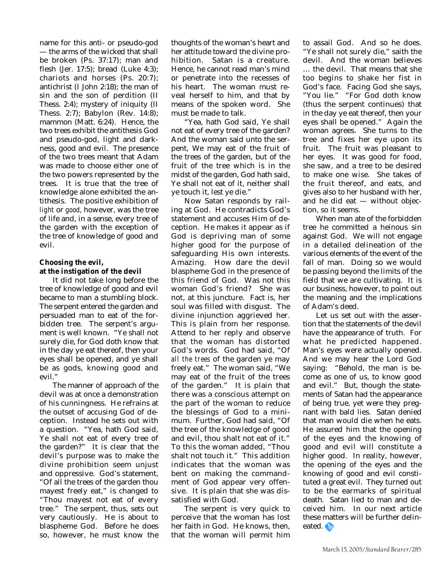name for this anti- or pseudo-god — the arms of the wicked that shall be broken (Ps. 37:17); man and flesh (Jer. 17:5); bread (Luke 4:3); chariots and horses (Ps. 20:7); antichrist (I John 2:18); the man of sin and the son of perdition (II Thess. 2:4); mystery of iniquity (II Thess. 2:7); Babylon (Rev. 14:8); mammon (Matt. 6:24). Hence, the two trees exhibit the antithesis God and pseudo-god, light and darkness, good and evil. The presence of the two trees meant that Adam was made to choose either one of the two powers represented by the trees. It is true that the tree of knowledge alone exhibited the antithesis. The positive exhibition of *light* or *good,* however, was the tree of life and, in a sense, every tree of the garden with the exception of the tree of knowledge of good and evil.

### **Choosing the evil, at the instigation of the devil**

It did not take long before the tree of knowledge of good and evil became to man a stumbling block. The serpent entered the garden and persuaded man to eat of the forbidden tree. The serpent's argument is well known. "Ye shall not surely die, for God doth know that in the day ye eat thereof, then your eyes shall be opened, and ye shall be as gods, knowing good and evil."

The manner of approach of the devil was at once a demonstration of his cunningness. He refrains at the outset of accusing God of deception. Instead he sets out with a question. "Yea, hath God said, Ye shall not eat of every tree of the garden?" It is clear that the devil's purpose was to make the divine prohibition seem unjust and oppressive. God's statement, "Of all the trees of the garden thou mayest freely eat," is changed to "Thou mayest not eat of every tree." The serpent, thus, sets out very cautiously. He is about to blaspheme God. Before he does so, however, he must know the

thoughts of the woman's heart and her attitude toward the divine prohibition. Satan is a creature. Hence, he cannot read man's mind or penetrate into the recesses of his heart. The woman must reveal herself to him, and that by means of the spoken word. She must be made to talk.

"Yea, hath God said, Ye shall not eat of every tree of the garden? And the woman said unto the serpent, We may eat of the fruit of the trees of the garden, but of the fruit of the tree which is in the midst of the garden, God hath said, Ye shall not eat of it, neither shall ye touch it, lest ye die."

Now Satan responds by railing at God. He contradicts God's statement and accuses Him of deception. He makes it appear as if God is depriving man of some higher good for the purpose of safeguarding His own interests. Amazing. How dare the devil blaspheme God in the presence of this friend of God. Was not this woman God's friend? She was not, at this juncture. Fact is, her soul was filled with disgust. The divine injunction aggrieved her. This is plain from her response. Attend to her reply and observe that the woman has distorted God's words. God had said, "Of *all the trees* of the garden ye may freely eat." The woman said, "We may eat of the fruit of the trees of the garden." It is plain that there was a conscious attempt on the part of the woman to reduce the blessings of God to a minimum. Further, God had said, "Of the tree of the knowledge of good and evil, thou shalt not eat of it." To this the woman added, "Thou shalt not touch it." This addition indicates that the woman was bent on making the commandment of God appear very offensive. It is plain that she was dissatisfied with God.

The serpent is very quick to perceive that the woman has lost her faith in God. He knows, then, that the woman will permit him to assail God. And so he does. "Ye shall not surely die," saith the devil. And the woman believes … the devil. That means that she too begins to shake her fist in God's face. Facing God she says, "You lie." "For God doth know (thus the serpent continues) that in the day ye eat thereof, then your eyes shall be opened." Again the woman agrees. She turns to the tree and fixes her eye upon its fruit. The fruit was pleasant to her eyes. It was good for food, she saw, and a tree to be desired to make one wise. She takes of the fruit thereof, and eats, and gives also to her husband with her, and he did eat — without objection, so it seems.

When man ate of the forbidden tree he committed a heinous sin against God. We will not engage in a detailed delineation of the various elements of the event of the fall of man. Doing so we would be passing beyond the limits of the field that we are cultivating. It is our business, however, to point out the meaning and the implications of Adam's deed.

Let us set out with the assertion that the statements of the devil have the appearance of truth. For what he predicted happened. Man's eyes were actually opened. And we may hear the Lord God saying: "Behold, the man is become as one of us, to know good and evil." But, though the statements of Satan had the appearance of being true, yet were they pregnant with bald lies. Satan denied that man would die when he eats. He assured him that the opening of the eyes and the knowing of good and evil will constitute a higher good. In reality, however, the opening of the eyes and the knowing of good and evil constituted a great evil. They turned out to be the earmarks of spiritual death. Satan lied to man and deceived him. In our next article these matters will be further delineated.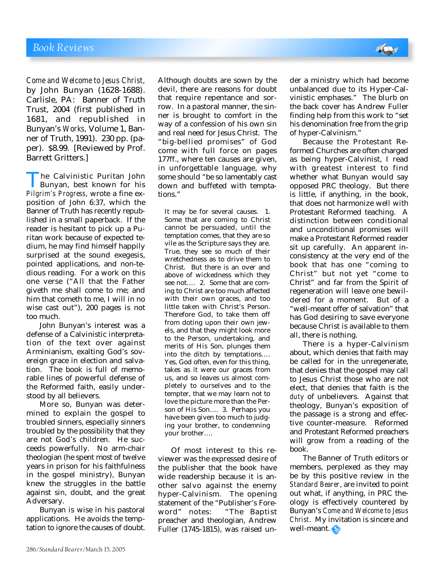*Come and Welcome to Jesus Christ,* by John Bunyan (1628-1688). Carlisle, PA: Banner of Truth Trust, 2004 (first published in 1681, and republished in Bunyan's *Works,* Volume 1, Banner of Truth, 1991). 230 pp. (paper). \$8.99. [Reviewed by Prof. Barrett Gritters.]

**The Calvinistic Puritan John<br>Bunyan, best known for his<br>***Pilgrim's Progress***, wrote a fine ex-**Bunyan, best known for his position of John 6:37, which the Banner of Truth has recently republished in a small paperback. If the reader is hesitant to pick up a Puritan work because of expected tedium, he may find himself happily surprised at the sound exegesis, pointed applications, and non-tedious reading. For a work on this one verse ("All that the Father giveth me shall come to me; and him that cometh to me, I will in no wise cast out"), 200 pages is not too much.

John Bunyan's interest was a defense of a Calvinistic interpretation of the text over against Arminianism, exalting God's sovereign grace in election and salvation. The book is full of memorable lines of powerful defense of the Reformed faith, easily understood by all believers.

More so, Bunyan was determined to explain the gospel to troubled sinners, especially sinners troubled by the possibility that they are not God's children. He succeeds powerfully. No arm-chair theologian (he spent most of twelve years in prison for his faithfulness in the gospel ministry), Bunyan knew the struggles in the battle against sin, doubt, and the great Adversary.

Bunyan is wise in his pastoral applications. He avoids the temptation to ignore the causes of doubt.

Although doubts are sown by the devil, there are reasons for doubt that require repentance and sorrow. In a pastoral manner, the sinner is brought to comfort in the way of a confession of his own sin and real need for Jesus Christ. The "big-bellied promises" of God come with full force on pages 177ff., where ten causes are given, in unforgettable language, why some should "be so lamentably cast down and buffeted with temptations."

It may be for several causes. 1. Some that are coming to Christ cannot be persuaded, until the temptation comes, that they are so vile as the Scripture says they are. True, they see so much of their wretchedness as to drive them to Christ. But there is an over and above of wickedness which they see not…. 2. Some that are coming to Christ are too much affected with their own graces, and too little taken with Christ's Person. Therefore God, to take them off from doting upon their own jewels, and that they might look more to the Person, undertaking, and merits of His Son, plunges them into the ditch by temptations…. Yes, God often, even for this thing, takes as it were our graces from us, and so leaves us almost completely to ourselves and to the tempter, that we may learn not to love the picture more than the Person of His Son…. 3. Perhaps you have been given too much to judging your brother, to condemning your brother….

Of most interest to this reviewer was the expressed desire of the publisher that the book have wide readership because it is another salvo against the enemy hyper-Calvinism. The opening statement of the "Publisher's Foreword" notes: "The Baptist preacher and theologian, Andrew Fuller (1745-1815), was raised under a ministry which had become unbalanced due to its Hyper-Calvinistic emphases." The blurb on the back cover has Andrew Fuller finding help from this work to "set his denomination free from the grip of hyper-Calvinism."

Because the Protestant Reformed Churches are often charged as being hyper-Calvinist, I read with greatest interest to find whether what Bunyan would say opposed PRC theology. But there is little, if anything, in the book, that does not harmonize well with Protestant Reformed teaching. A distinction between conditional and unconditional promises will make a Protestant Reformed reader sit up carefully. An apparent inconsistency at the very end of the book that has one "coming to Christ" but not yet "come to Christ" and far from the Spirit of regeneration will leave one bewildered for a moment. But of a "well-meant offer of salvation" that has God desiring to save everyone because Christ is available to them all, there is nothing.

There is a hyper-Calvinism about, which denies that faith may be called for in the unregenerate, that denies that the gospel may call to Jesus Christ those who are not elect, that denies that faith is the *duty* of unbelievers. Against that theology, Bunyan's exposition of the passage is a strong and effective counter-measure. Reformed and Protestant Reformed preachers will grow from a reading of the book.

The Banner of Truth editors or members, perplexed as they may be by this positive review in the *Standard Bearer*, are invited to point out what, if anything, in PRC theology is effectively countered by Bunyan's *Come and Welcome to Jesus Christ*. My invitation is sincere and well-meant.

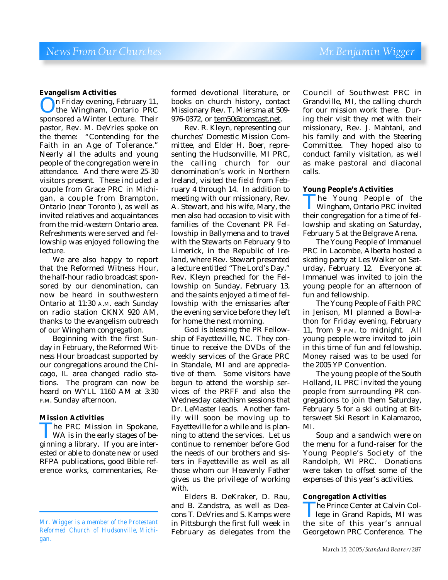#### **Evangelism Activities**

On Friday evening, February 11, sponsored a Winter Lecture. Their the Wingham, Ontario PRC pastor, Rev. M. DeVries spoke on the theme: "Contending for the Faith in an Age of Tolerance." Nearly all the adults and young people of the congregation were in attendance. And there were 25-30 visitors present. These included a couple from Grace PRC in Michigan, a couple from Brampton, Ontario (near Toronto ), as well as invited relatives and acquaintances from the mid-western Ontario area. Refreshments were served and fellowship was enjoyed following the lecture.

We are also happy to report that the Reformed Witness Hour, the half-hour radio broadcast sponsored by our denomination, can now be heard in southwestern Ontario at 11:30 A.M. each Sunday on radio station CKNX 920 AM, thanks to the evangelism outreach of our Wingham congregation.

Beginning with the first Sunday in February, the Reformed Witness Hour broadcast supported by our congregations around the Chicago, IL area changed radio stations. The program can now be heard on WYLL 1160 AM at 3:30 P.M. Sunday afternoon.

#### **Mission Activities**

The PRC Mission in Spokane,<br>WA is in the early stages of beginning a library. If you are inter-WA is in the early stages of beested or able to donate new or used RFPA publications, good Bible reference works, commentaries, Reformed devotional literature, or books on church history, contact Missionary Rev. T. Miersma at 509- 976-0372, or tem50@comcast.net.

Rev. R. Kleyn, representing our churches' Domestic Mission Committee, and Elder H. Boer, representing the Hudsonville, MI PRC, the calling church for our denomination's work in Northern Ireland, visited the field from February 4 through 14. In addition to meeting with our missionary, Rev. A. Stewart, and his wife, Mary, the men also had occasion to visit with families of the Covenant PR Fellowship in Ballymena and to travel with the Stewarts on February 9 to Limerick, in the Republic of Ireland, where Rev. Stewart presented a lecture entitled "The Lord's Day." Rev. Kleyn preached for the Fellowship on Sunday, February 13, and the saints enjoyed a time of fellowship with the emissaries after the evening service before they left for home the next morning.

God is blessing the PR Fellowship of Fayetteville, NC. They continue to receive the DVDs of the weekly services of the Grace PRC in Standale, MI and are appreciative of them. Some visitors have begun to attend the worship services of the PRFF and also the Wednesday catechism sessions that Dr. LeMaster leads. Another family will soon be moving up to Fayetteville for a while and is planning to attend the services. Let us continue to remember before God the needs of our brothers and sisters in Fayetteville as well as all those whom our Heavenly Father gives us the privilege of working with.

Elders B. DeKraker, D. Rau, and B. Zandstra, as well as Deacons T. DeVries and S. Kamps were in Pittsburgh the first full week in February as delegates from the

Council of Southwest PRC in Grandville, MI, the calling church for our mission work there. During their visit they met with their missionary, Rev. J. Mahtani, and his family and with the Steering Committee. They hoped also to conduct family visitation, as well as make pastoral and diaconal calls.

#### **Young People's Activities**

The Young People of the<br>Wingham, Ontario PRC invited<br>their congregation for a time of fel-Wingham, Ontario PRC invited lowship and skating on Saturday, February 5 at the Belgrave Arena.

The Young People of Immanuel PRC in Lacombe, Alberta hosted a skating party at Les Walker on Saturday, February 12. Everyone at Immanuel was invited to join the young people for an afternoon of fun and fellowship.

The Young People of Faith PRC in Jenison, MI planned a Bowl-athon for Friday evening, February 11, from 9 P.M. to midnight. All young people were invited to join in this time of fun and fellowship. Money raised was to be used for the 2005 YP Convention.

The young people of the South Holland, IL PRC invited the young people from surrounding PR congregations to join them Saturday, February 5 for a ski outing at Bittersweet Ski Resort in Kalamazoo, MI.

Soup and a sandwich were on the menu for a fund-raiser for the Young People's Society of the Randolph, WI PRC. Donations were taken to offset some of the expenses of this year's activities.

#### **Congregation Activities**

The Prince Center at Calvin College in Grand Rapids, MI was<br>the site of this year's annual lege in Grand Rapids, MI was Georgetown PRC Conference. The

*Mr. Wigger is a member of the Protestant Reformed Church of Hudsonville, Michigan.*